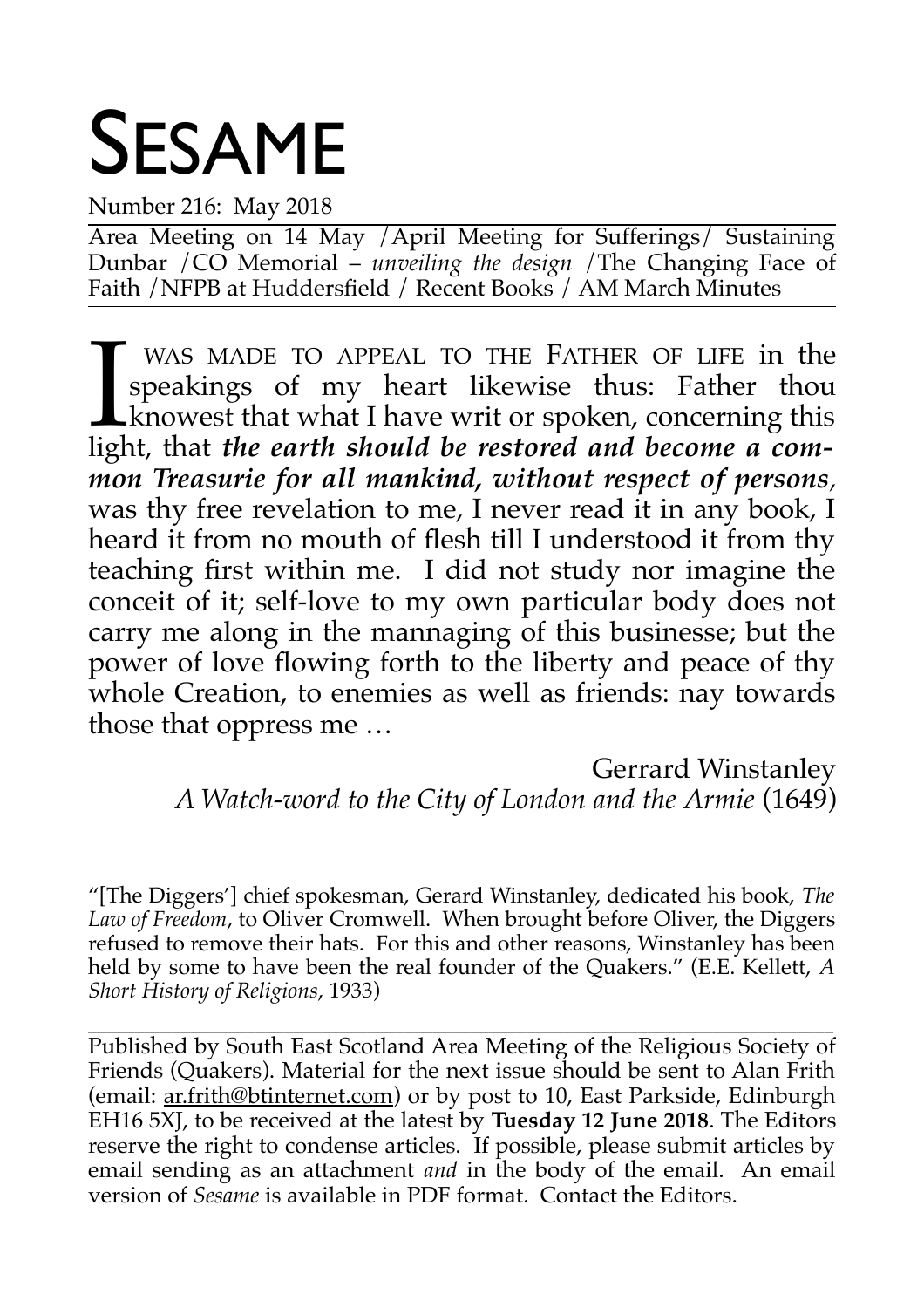# SESAME

Number 216: May 2018

Area Meeting on 14 May /April Meeting for Sufferings/ Sustaining Dunbar /CO Memorial – *unveiling the design* /The Changing Face of Faith /NFPB at Huddersfield / Recent Books / AM March Minutes

WAS MADE TO APPEAL TO THE FATHER OF LIFE in the speakings of my heart likewise thus: Father thou knowest that what I have writ or spoken, concerning this light, that *the earth should be restored and become a common Treasurie for all mankind, without respect of persons,* was thy free revelation to me, I never read it in any book, I heard it from no mouth of flesh till I understood it from thy teaching first within me. I did not study nor imagine the conceit of it; self-love to my own particular body does not carry me along in the mannaging of this businesse; but the power of love flowing forth to the liberty and peace of thy whole Creation, to enemies as well as friends: nay towards those that oppress me …  $\prod_{\substack{\text{liel}}}\,$ 

Gerrard Winstanley

*A Watch-word to the City of London and the Armie* (1649)

"[The Diggers'] chief spokesman, Gerard Winstanley, dedicated his book, *The Law of Freedom*, to Oliver Cromwell. When brought before Oliver, the Diggers refused to remove their hats. For this and other reasons, Winstanley has been held by some to have been the real founder of the Quakers." (E.E. Kellett, *A Short History of Religions*, 1933)

\_\_\_\_\_\_\_\_\_\_\_\_\_\_\_\_\_\_\_\_\_\_\_\_\_\_\_\_\_\_\_\_\_\_\_\_\_\_\_\_\_\_\_\_\_\_\_\_\_\_\_\_\_\_\_\_\_\_\_\_\_\_\_\_\_\_\_\_\_\_\_\_\_\_\_\_\_\_\_\_ Published by South East Scotland Area Meeting of the Religious Society of Friends (Quakers). Material for the next issue should be sent to Alan Frith (email: ar.frith@btinternet.com) or by post to 10, East Parkside, Edinburgh EH16 5XJ, to be received at the latest by **Tuesday 12 June 2018**. The Editors reserve the right to condense articles. If possible, please submit articles by email sending as an attachment *and* in the body of the email. An email version of *Sesame* is available in PDF format. Contact the Editors.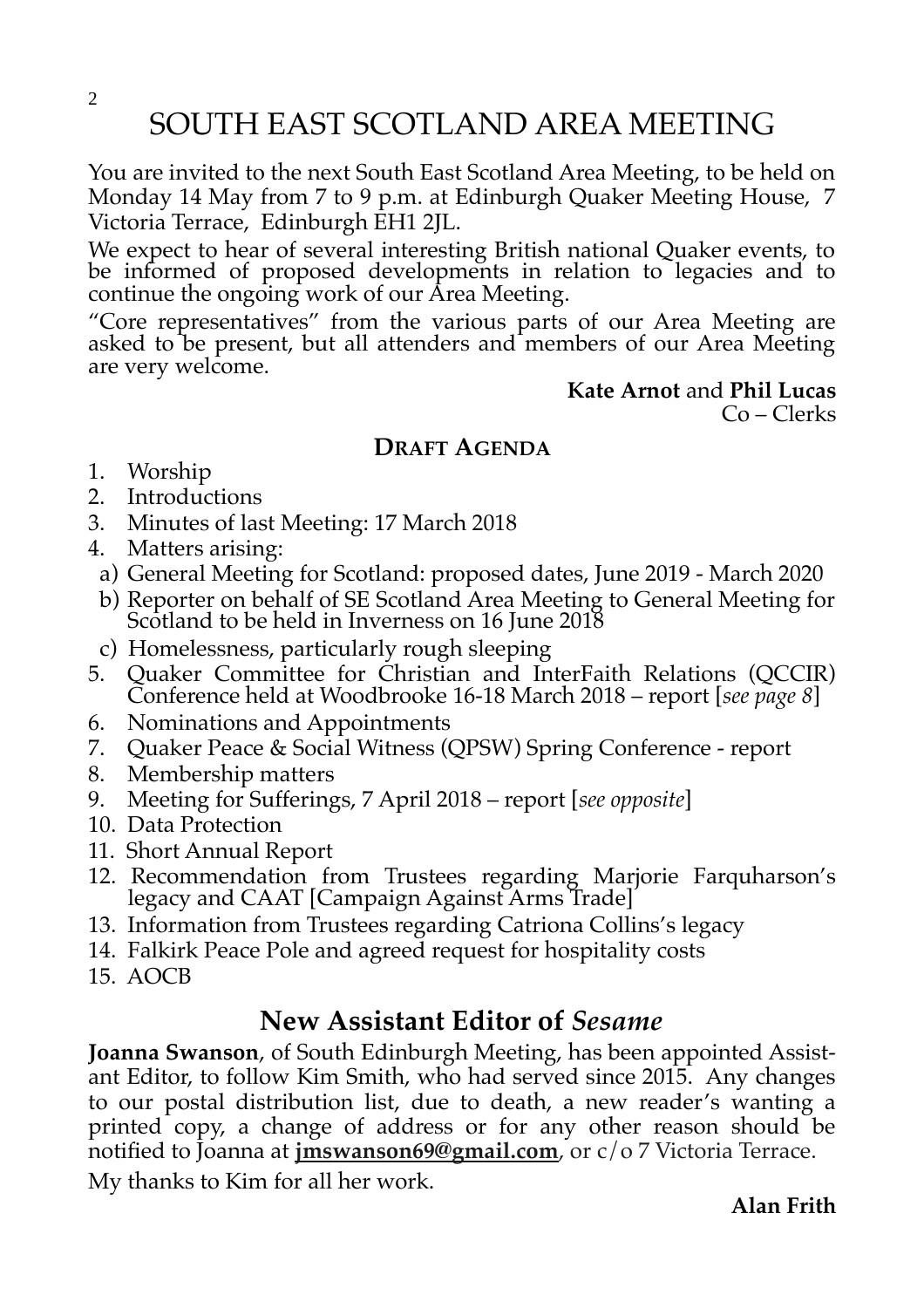SOUTH EAST SCOTLAND AREA MEETING

You are invited to the next South East Scotland Area Meeting, to be held on Monday 14 May from 7 to 9 p.m. at Edinburgh Quaker Meeting House, 7 Victoria Terrace, Edinburgh EH1 2JL.

We expect to hear of several interesting British national Quaker events, to be informed of proposed developments in relation to legacies and to continue the ongoing work of our Area Meeting.

"Core representatives" from the various parts of our Area Meeting are asked to be present, but all attenders and members of our Area Meeting are very welcome.

> **Kate Arnot** and **Phil Lucas** Co – Clerks

#### **DRAFT AGENDA**

- 1. Worship
- 2. Introductions
- 3. Minutes of last Meeting: 17 March 2018
- 4. Matters arising:
- a) General Meeting for Scotland: proposed dates, June 2019 March 2020
- b) Reporter on behalf of SE Scotland Area Meeting to General Meeting for Scotland to be held in Inverness on 16 June 2018
- c) Homelessness, particularly rough sleeping
- 5. Quaker Committee for Christian and InterFaith Relations (QCCIR) Conference held at Woodbrooke 16-18 March 2018 – report [*see page 8*]
- 6. Nominations and Appointments
- 7. Quaker Peace & Social Witness (QPSW) Spring Conference report
- 8. Membership matters
- 9. Meeting for Sufferings, 7 April 2018 report [*see opposite*]
- 10. Data Protection
- 11. Short Annual Report
- 12. Recommendation from Trustees regarding Marjorie Farquharson's legacy and CAAT [Campaign Against Arms Trade]
- 13. Information from Trustees regarding Catriona Collins's legacy
- 14. Falkirk Peace Pole and agreed request for hospitality costs
- 15. AOCB

#### **New Assistant Editor of** *Sesame*

**Joanna Swanson**, of South Edinburgh Meeting, has been appointed Assistant Editor, to follow Kim Smith, who had served since 2015. Any changes to our postal distribution list, due to death, a new reader's wanting a printed copy, a change of address or for any other reason should be notified to Joanna at **[jmswanson69@gmail.com](mailto:jmswanson69@gmail.com)**, or c/o 7 Victoria Terrace.

My thanks to Kim for all her work.

**Alan Frith**

2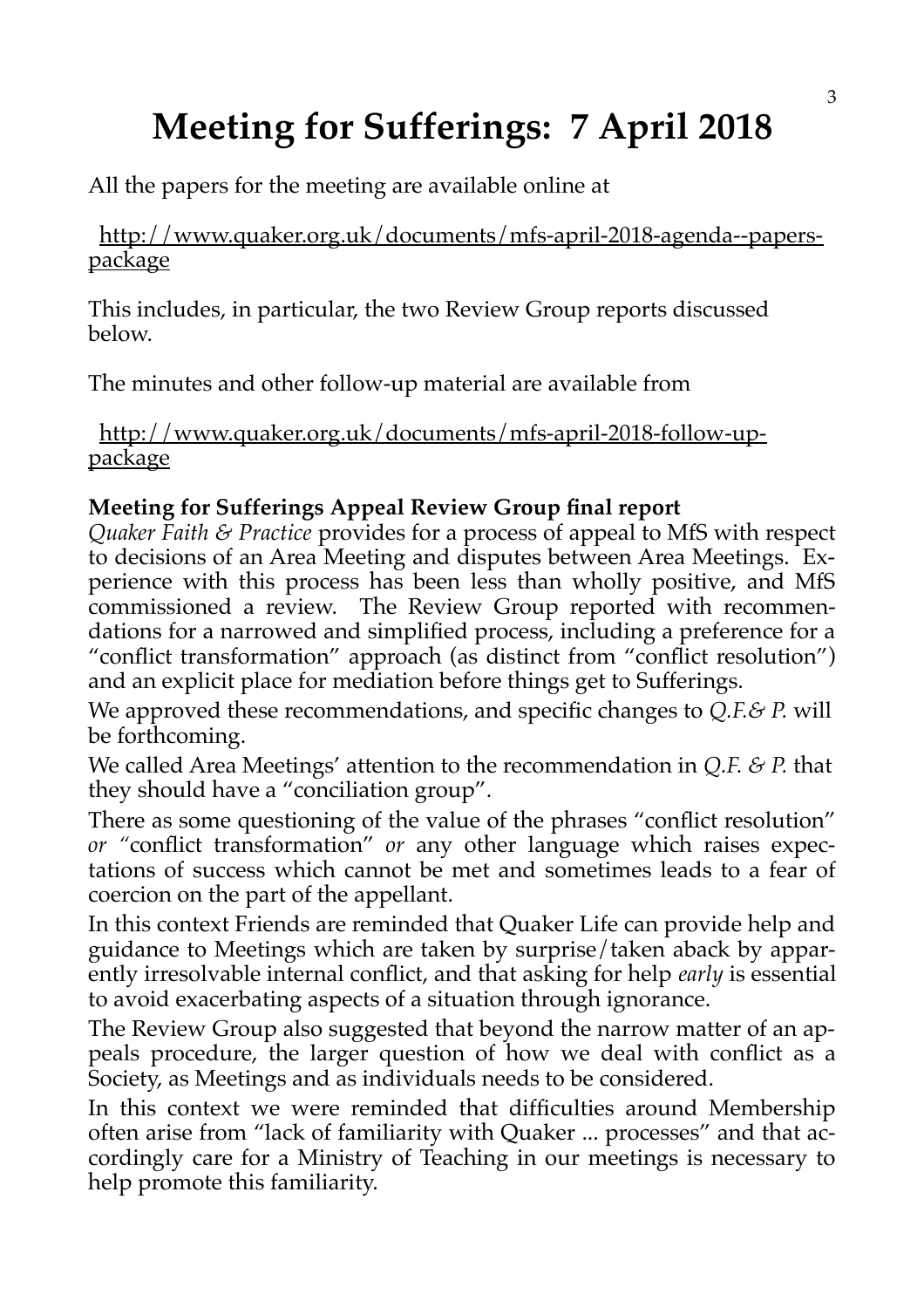## **Meeting for Sufferings: 7 April 2018**

All the papers for the meeting are available online at

 http://www.quaker.org.uk/documents/mfs-april-2018-agenda--paperspackage

This includes, in particular, the two Review Group reports discussed below.

The minutes and other follow-up material are available from

 http://www.quaker.org.uk/documents/mfs-april-2018-follow-uppackage

#### **Meeting for Sufferings Appeal Review Group final report**

*Quaker Faith & Practice* provides for a process of appeal to MfS with respect to decisions of an Area Meeting and disputes between Area Meetings. Experience with this process has been less than wholly positive, and MfS commissioned a review. The Review Group reported with recommendations for a narrowed and simplified process, including a preference for a "conflict transformation" approach (as distinct from "conflict resolution") and an explicit place for mediation before things get to Sufferings.

We approved these recommendations, and specific changes to *Q.F.& P.* will be forthcoming.

We called Area Meetings' attention to the recommendation in *Q.F. & P.* that they should have a "conciliation group".

There as some questioning of the value of the phrases "conflict resolution" *or "*conflict transformation" *or* any other language which raises expectations of success which cannot be met and sometimes leads to a fear of coercion on the part of the appellant.

In this context Friends are reminded that Quaker Life can provide help and guidance to Meetings which are taken by surprise/taken aback by apparently irresolvable internal conflict, and that asking for help *early* is essential to avoid exacerbating aspects of a situation through ignorance.

The Review Group also suggested that beyond the narrow matter of an appeals procedure, the larger question of how we deal with conflict as a Society, as Meetings and as individuals needs to be considered.

In this context we were reminded that difficulties around Membership often arise from "lack of familiarity with Quaker ... processes" and that accordingly care for a Ministry of Teaching in our meetings is necessary to help promote this familiarity.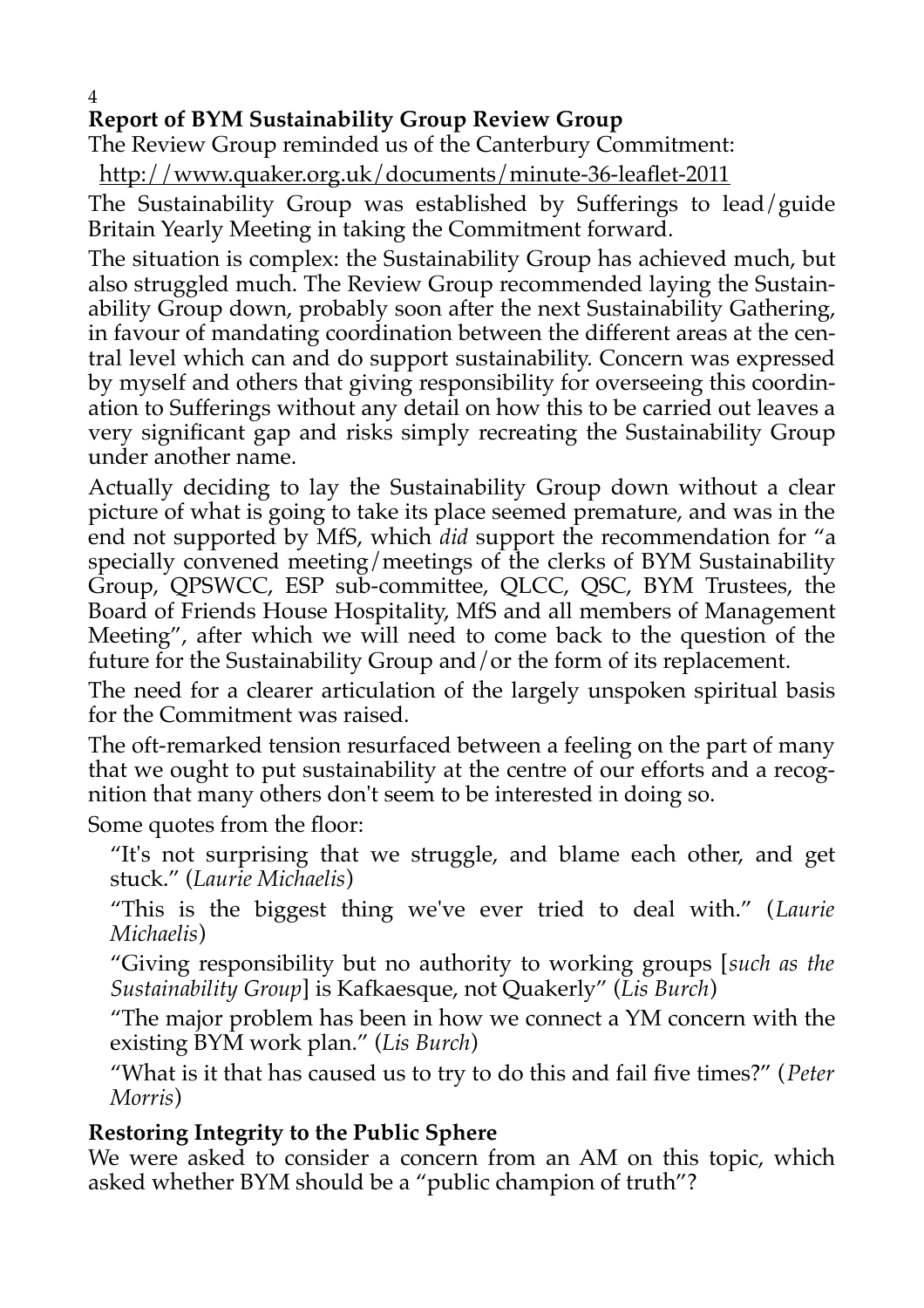## **Report of BYM Sustainability Group Review Group**

The Review Group reminded us of the Canterbury Commitment:

http://www.quaker.org.uk/documents/minute-36-leaflet-2011

The Sustainability Group was established by Sufferings to lead/guide Britain Yearly Meeting in taking the Commitment forward.

The situation is complex: the Sustainability Group has achieved much, but also struggled much. The Review Group recommended laying the Sustainability Group down, probably soon after the next Sustainability Gathering, in favour of mandating coordination between the different areas at the central level which can and do support sustainability. Concern was expressed by myself and others that giving responsibility for overseeing this coordination to Sufferings without any detail on how this to be carried out leaves a very significant gap and risks simply recreating the Sustainability Group under another name.

Actually deciding to lay the Sustainability Group down without a clear picture of what is going to take its place seemed premature, and was in the end not supported by MfS, which *did* support the recommendation for "a specially convened meeting/meetings of the clerks of BYM Sustainability Group, QPSWCC, ESP sub-committee, QLCC, QSC, BYM Trustees, the Board of Friends House Hospitality, MfS and all members of Management Meeting", after which we will need to come back to the question of the future for the Sustainability Group and/or the form of its replacement.

The need for a clearer articulation of the largely unspoken spiritual basis for the Commitment was raised.

The oft-remarked tension resurfaced between a feeling on the part of many that we ought to put sustainability at the centre of our efforts and a recognition that many others don't seem to be interested in doing so.

Some quotes from the floor:

"It's not surprising that we struggle, and blame each other, and get stuck." (*Laurie Michaelis*)

"This is the biggest thing we've ever tried to deal with." (*Laurie Michaelis*)

"Giving responsibility but no authority to working groups [*such as the Sustainability Group*] is Kafkaesque, not Quakerly" (*Lis Burch*)

"The major problem has been in how we connect a YM concern with the existing BYM work plan." (*Lis Burch*)

"What is it that has caused us to try to do this and fail five times?" (*Peter Morris*)

#### **Restoring Integrity to the Public Sphere**

We were asked to consider a concern from an AM on this topic, which asked whether BYM should be a "public champion of truth"?

4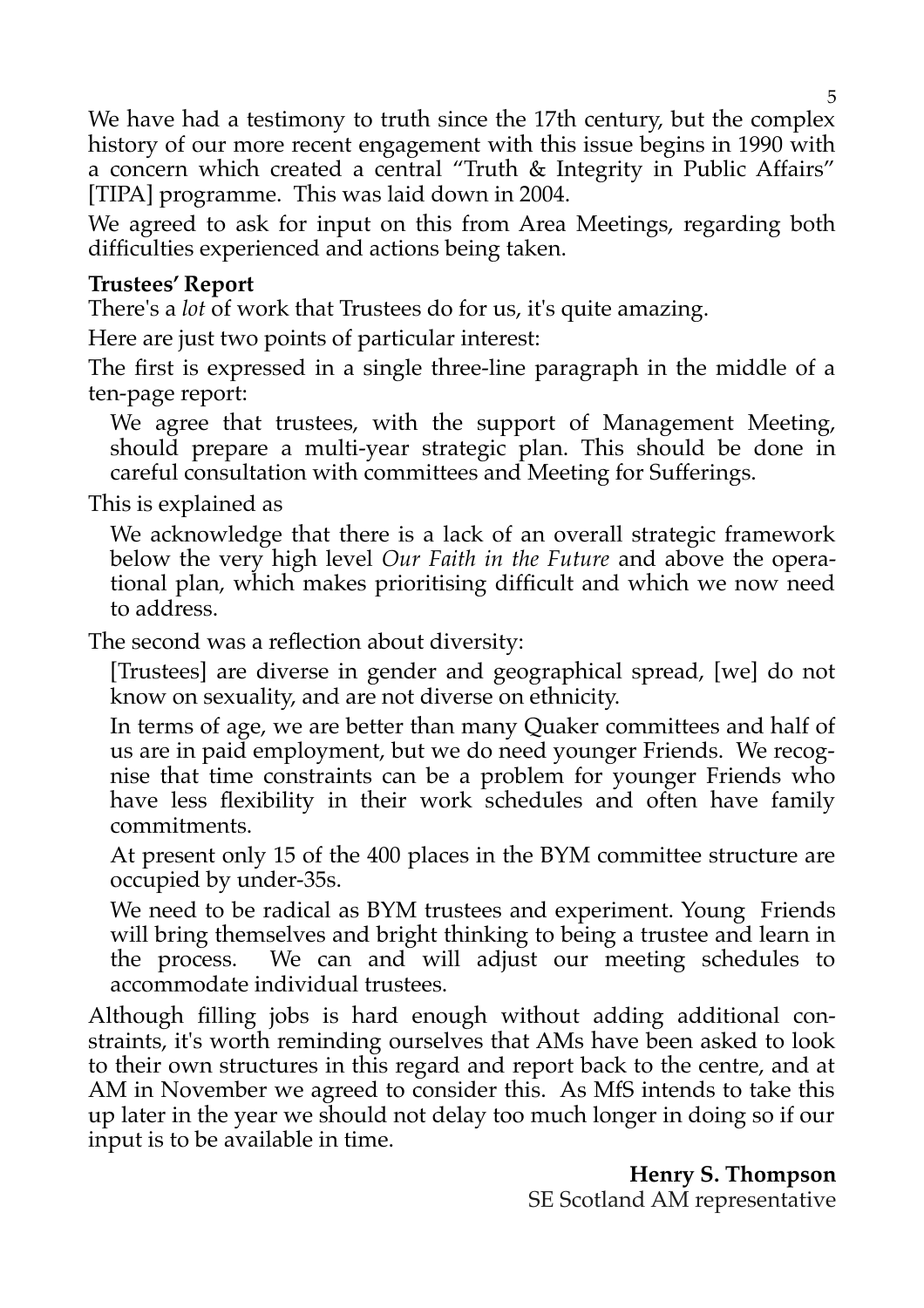We have had a testimony to truth since the 17th century, but the complex history of our more recent engagement with this issue begins in 1990 with a concern which created a central "Truth & Integrity in Public Affairs" [TIPA] programme. This was laid down in 2004.

We agreed to ask for input on this from Area Meetings, regarding both difficulties experienced and actions being taken.

#### **Trustees' Report**

There's a *lot* of work that Trustees do for us, it's quite amazing.

Here are just two points of particular interest:

The first is expressed in a single three-line paragraph in the middle of a ten-page report:

We agree that trustees, with the support of Management Meeting, should prepare a multi-year strategic plan. This should be done in careful consultation with committees and Meeting for Sufferings.

This is explained as

We acknowledge that there is a lack of an overall strategic framework below the very high level *Our Faith in the Future* and above the operational plan, which makes prioritising difficult and which we now need to address.

The second was a reflection about diversity:

[Trustees] are diverse in gender and geographical spread, [we] do not know on sexuality, and are not diverse on ethnicity.

In terms of age, we are better than many Quaker committees and half of us are in paid employment, but we do need younger Friends. We recognise that time constraints can be a problem for younger Friends who have less flexibility in their work schedules and often have family commitments.

At present only 15 of the 400 places in the BYM committee structure are occupied by under-35s.

We need to be radical as BYM trustees and experiment. Young Friends will bring themselves and bright thinking to being a trustee and learn in the process. We can and will adjust our meeting schedules to accommodate individual trustees.

Although filling jobs is hard enough without adding additional constraints, it's worth reminding ourselves that AMs have been asked to look to their own structures in this regard and report back to the centre, and at AM in November we agreed to consider this. As MfS intends to take this up later in the year we should not delay too much longer in doing so if our input is to be available in time.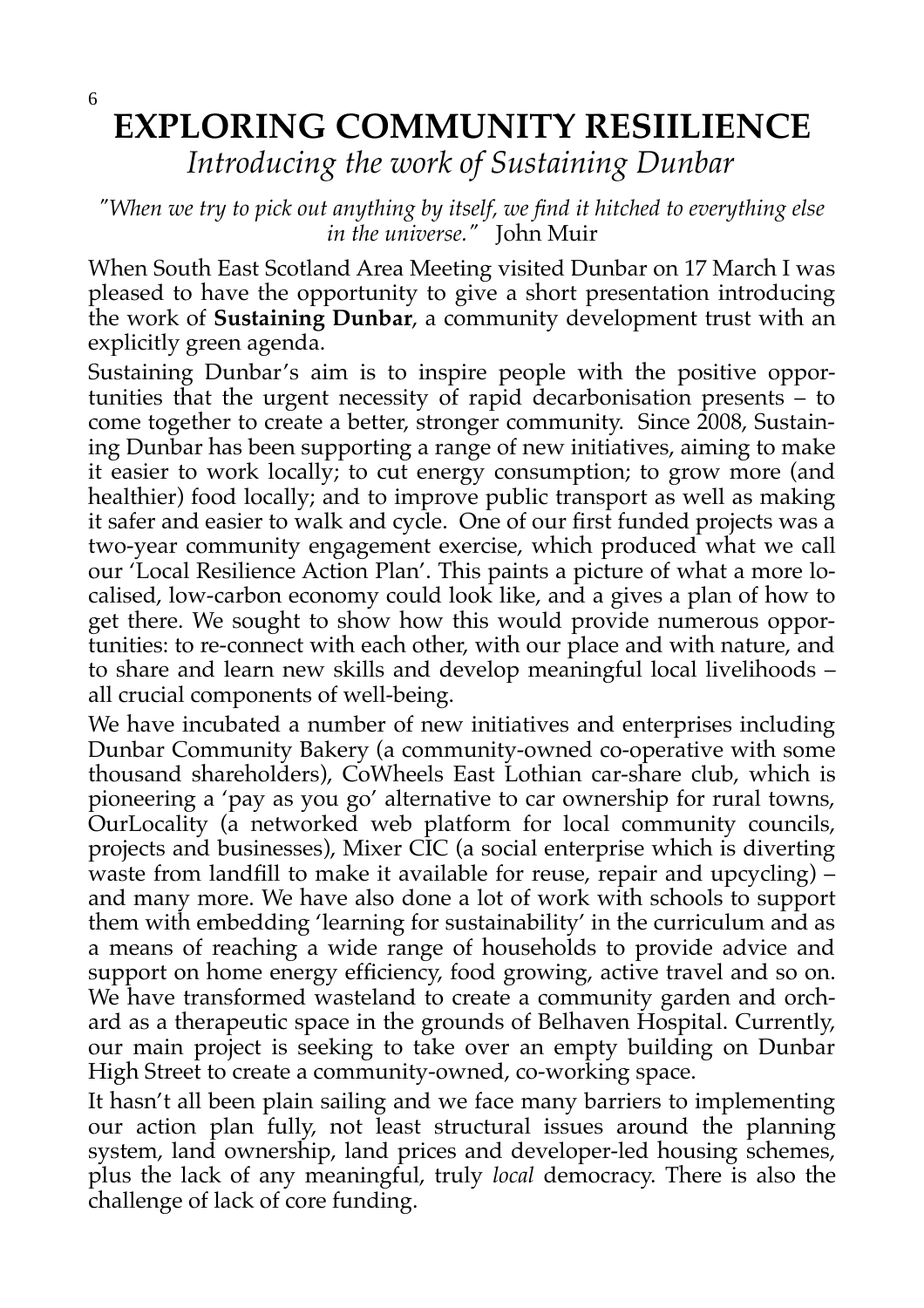## **EXPLORING COMMUNITY RESIILIENCE** *Introducing the work of Sustaining Dunbar*

#### *"When we try to pick out anything by itself, we find it hitched to everything else in the universe."* John Muir

When South East Scotland Area Meeting visited Dunbar on 17 March I was pleased to have the opportunity to give a short presentation introducing the work of **Sustaining Dunbar**, a community development trust with an explicitly green agenda.

Sustaining Dunbar's aim is to inspire people with the positive opportunities that the urgent necessity of rapid decarbonisation presents  $-\frac{1}{1}$  to come together to create a better, stronger community. Since 2008, Sustaining Dunbar has been supporting a range of new initiatives, aiming to make it easier to work locally; to cut energy consumption; to grow more (and healthier) food locally; and to improve public transport as well as making it safer and easier to walk and cycle. One of our first funded projects was a two-year community engagement exercise, which produced what we call our 'Local Resilience Action Plan'. This paints a picture of what a more localised, low-carbon economy could look like, and a gives a plan of how to get there. We sought to show how this would provide numerous opportunities: to re-connect with each other, with our place and with nature, and to share and learn new skills and develop meaningful local livelihoods – all crucial components of well-being.

We have incubated a number of new initiatives and enterprises including Dunbar Community Bakery (a community-owned co-operative with some thousand shareholders), CoWheels East Lothian car-share club, which is pioneering a 'pay as you go' alternative to car ownership for rural towns, OurLocality (a networked web platform for local community councils, projects and businesses), Mixer CIC (a social enterprise which is diverting waste from landfill to make it available for reuse, repair and upcycling) – and many more. We have also done a lot of work with schools to support them with embedding 'learning for sustainability' in the curriculum and as a means of reaching a wide range of households to provide advice and support on home energy efficiency, food growing, active travel and so on. We have transformed wasteland to create a community garden and orchard as a therapeutic space in the grounds of Belhaven Hospital. Currently, our main project is seeking to take over an empty building on Dunbar High Street to create a community-owned, co-working space.

It hasn't all been plain sailing and we face many barriers to implementing our action plan fully, not least structural issues around the planning system, land ownership, land prices and developer-led housing schemes, plus the lack of any meaningful, truly *local* democracy. There is also the challenge of lack of core funding.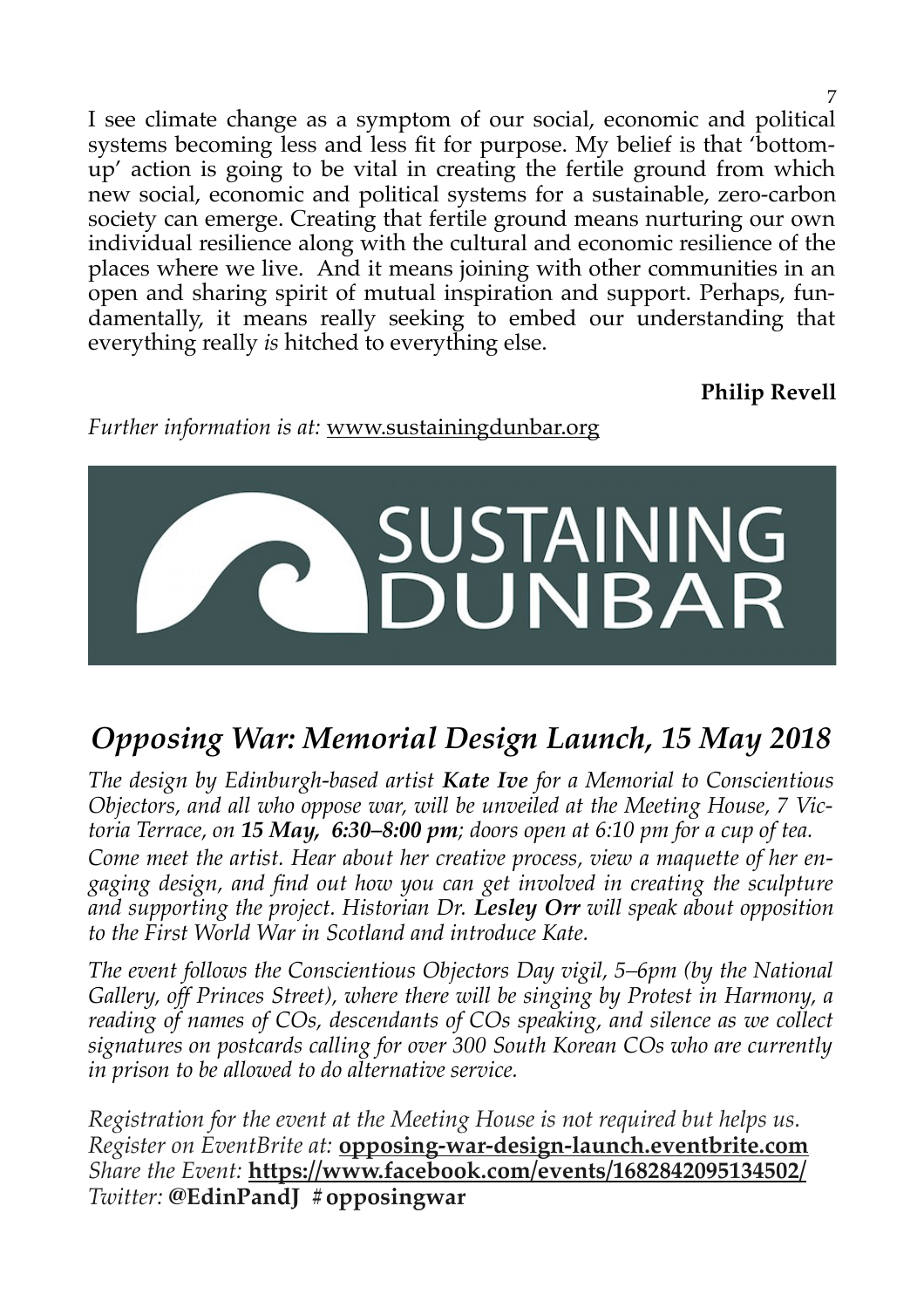I see climate change as a symptom of our social, economic and political systems becoming less and less fit for purpose. My belief is that 'bottomup' action is going to be vital in creating the fertile ground from which new social, economic and political systems for a sustainable, zero-carbon society can emerge. Creating that fertile ground means nurturing our own individual resilience along with the cultural and economic resilience of the places where we live. And it means joining with other communities in an open and sharing spirit of mutual inspiration and support. Perhaps, fundamentally, it means really seeking to embed our understanding that everything really *is* hitched to everything else.

**Philip Revell**

7

*Further information is at:* www.sustainingdunbar.org



## *Opposing War: Memorial Design Launch, 15 May 2018*

*The design by Edinburgh-based artist Kate Ive for a Memorial to Conscientious Objectors, and all who oppose war, will be unveiled at the Meeting House, 7 Victoria Terrace, on 15 May, 6:30–8:00 pm; doors open at 6:10 pm for a cup of tea.*

*Come meet the artist. Hear about her creative process, view a maquette of her engaging design, and find out how you can get involved in creating the sculpture and supporting the project. Historian Dr. Lesley Orr will speak about opposition to the First World War in Scotland and introduce Kate.*

*The event follows the Conscientious Objectors Day vigil, 5–6pm (by the National Gallery, off Princes Street), where there will be singing by Protest in Harmony, a reading of names of COs, descendants of COs speaking, and silence as we collect signatures on postcards calling for over 300 South Korean COs who are currently in prison to be allowed to do alternative service.*

*Registration for the event at the Meeting House is not required but helps us. Register on EventBrite at:* **[opposing-war-design-launch.eventbrite.com](https://opposing-war-design-launch.eventbrite.com/)** *Share the Event:* **<https://www.facebook.com/events/1682842095134502/>** *Twitter:* **@EdinPandJ #opposingwar**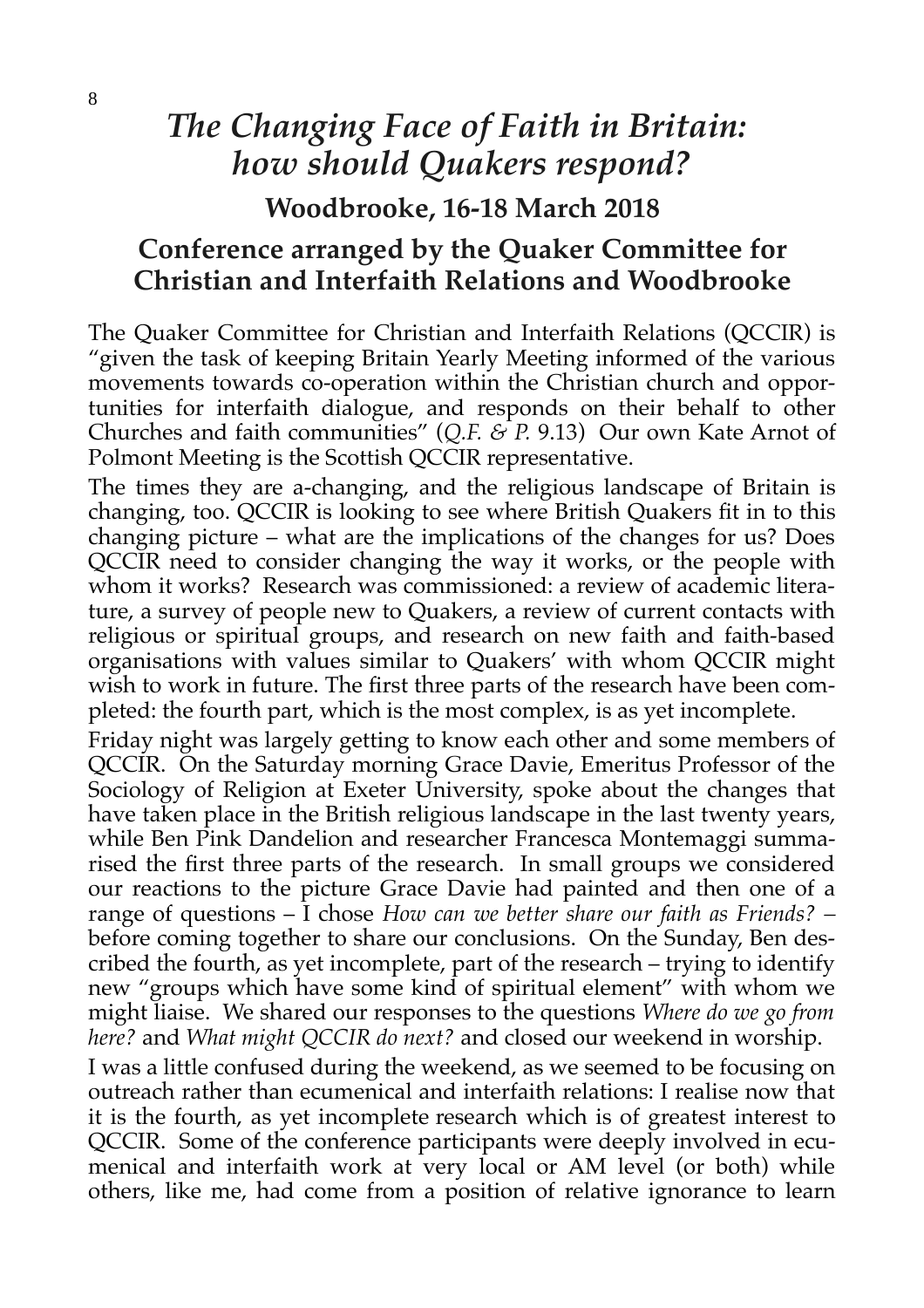## *The Changing Face of Faith in Britain: how should Quakers respond?*

**Woodbrooke, 16-18 March 2018**

## **Conference arranged by the Quaker Committee for Christian and Interfaith Relations and Woodbrooke**

The Quaker Committee for Christian and Interfaith Relations (QCCIR) is "given the task of keeping Britain Yearly Meeting informed of the various movements towards co-operation within the Christian church and opportunities for interfaith dialogue, and responds on their behalf to other Churches and faith communities" (*Q.F. & P.* 9.13) Our own Kate Arnot of Polmont Meeting is the Scottish QCCIR representative.

The times they are a-changing, and the religious landscape of Britain is changing, too. QCCIR is looking to see where British Quakers fit in to this changing picture – what are the implications of the changes for us? Does QCCIR need to consider changing the way it works, or the people with whom it works? Research was commissioned: a review of academic literature, a survey of people new to Quakers, a review of current contacts with religious or spiritual groups, and research on new faith and faith-based organisations with values similar to Quakers' with whom QCCIR might wish to work in future. The first three parts of the research have been completed: the fourth part, which is the most complex, is as yet incomplete.

Friday night was largely getting to know each other and some members of QCCIR. On the Saturday morning Grace Davie, Emeritus Professor of the Sociology of Religion at Exeter University, spoke about the changes that have taken place in the British religious landscape in the last twenty years, while Ben Pink Dandelion and researcher Francesca Montemaggi summarised the first three parts of the research. In small groups we considered our reactions to the picture Grace Davie had painted and then one of a range of questions – I chose *How can we better share our faith as Friends? –* before coming together to share our conclusions. On the Sunday, Ben described the fourth, as yet incomplete, part of the research – trying to identify new "groups which have some kind of spiritual element" with whom we might liaise. We shared our responses to the questions *Where do we go from here?* and *What might QCCIR do next?* and closed our weekend in worship.

I was a little confused during the weekend, as we seemed to be focusing on outreach rather than ecumenical and interfaith relations: I realise now that it is the fourth, as yet incomplete research which is of greatest interest to QCCIR. Some of the conference participants were deeply involved in ecumenical and interfaith work at very local or AM level (or both) while others, like me, had come from a position of relative ignorance to learn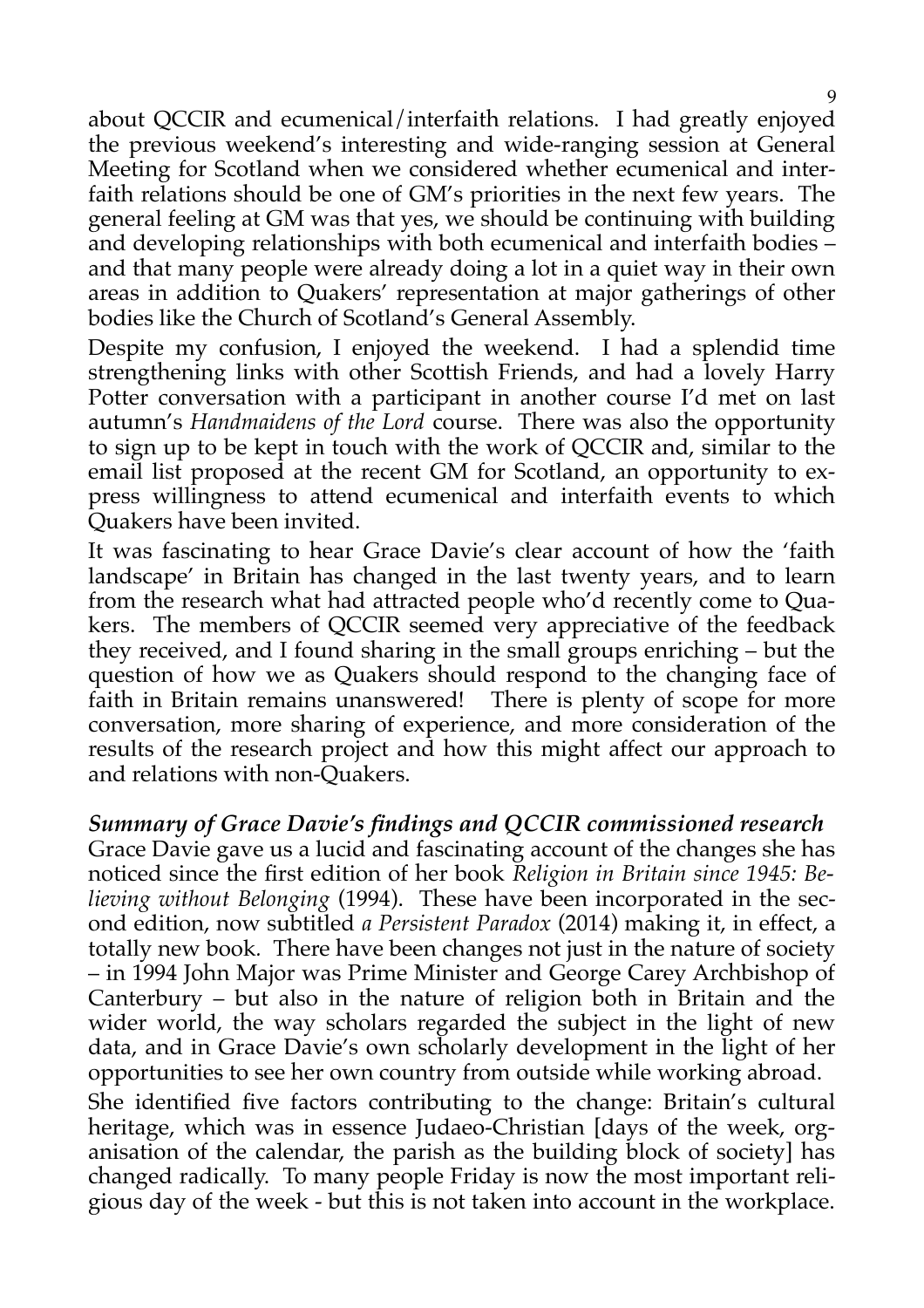about QCCIR and ecumenical/interfaith relations. I had greatly enjoyed the previous weekend's interesting and wide-ranging session at General Meeting for Scotland when we considered whether ecumenical and interfaith relations should be one of GM's priorities in the next few years. The general feeling at GM was that yes, we should be continuing with building and developing relationships with both ecumenical and interfaith bodies – and that many people were already doing a lot in a quiet way in their own areas in addition to Quakers' representation at major gatherings of other bodies like the Church of Scotland's General Assembly.

Despite my confusion, I enjoyed the weekend. I had a splendid time strengthening links with other Scottish Friends, and had a lovely Harry Potter conversation with a participant in another course I'd met on last autumn's *Handmaidens of the Lord* course. There was also the opportunity to sign up to be kept in touch with the work of QCCIR and, similar to the email list proposed at the recent GM for Scotland, an opportunity to express willingness to attend ecumenical and interfaith events to which Quakers have been invited.

It was fascinating to hear Grace Davie's clear account of how the 'faith landscape' in Britain has changed in the last twenty years, and to learn from the research what had attracted people who'd recently come to Quakers. The members of QCCIR seemed very appreciative of the feedback they received, and I found sharing in the small groups enriching – but the question of how we as Quakers should respond to the changing face of faith in Britain remains unanswered! There is plenty of scope for more conversation, more sharing of experience, and more consideration of the results of the research project and how this might affect our approach to and relations with non-Quakers.

#### *Summary of Grace Davie's findings and QCCIR commissioned research*

Grace Davie gave us a lucid and fascinating account of the changes she has noticed since the first edition of her book *Religion in Britain since 1945: Believing without Belonging* (1994). These have been incorporated in the second edition, now subtitled *a Persistent Paradox* (2014) making it, in effect, a totally new book*.* There have been changes not just in the nature of society – in 1994 John Major was Prime Minister and George Carey Archbishop of Canterbury – but also in the nature of religion both in Britain and the wider world, the way scholars regarded the subject in the light of new data, and in Grace Davie's own scholarly development in the light of her opportunities to see her own country from outside while working abroad.

She identified five factors contributing to the change: Britain's cultural heritage, which was in essence Judaeo-Christian [days of the week, organisation of the calendar, the parish as the building block of society] has changed radically. To many people Friday is now the most important religious day of the week - but this is not taken into account in the workplace.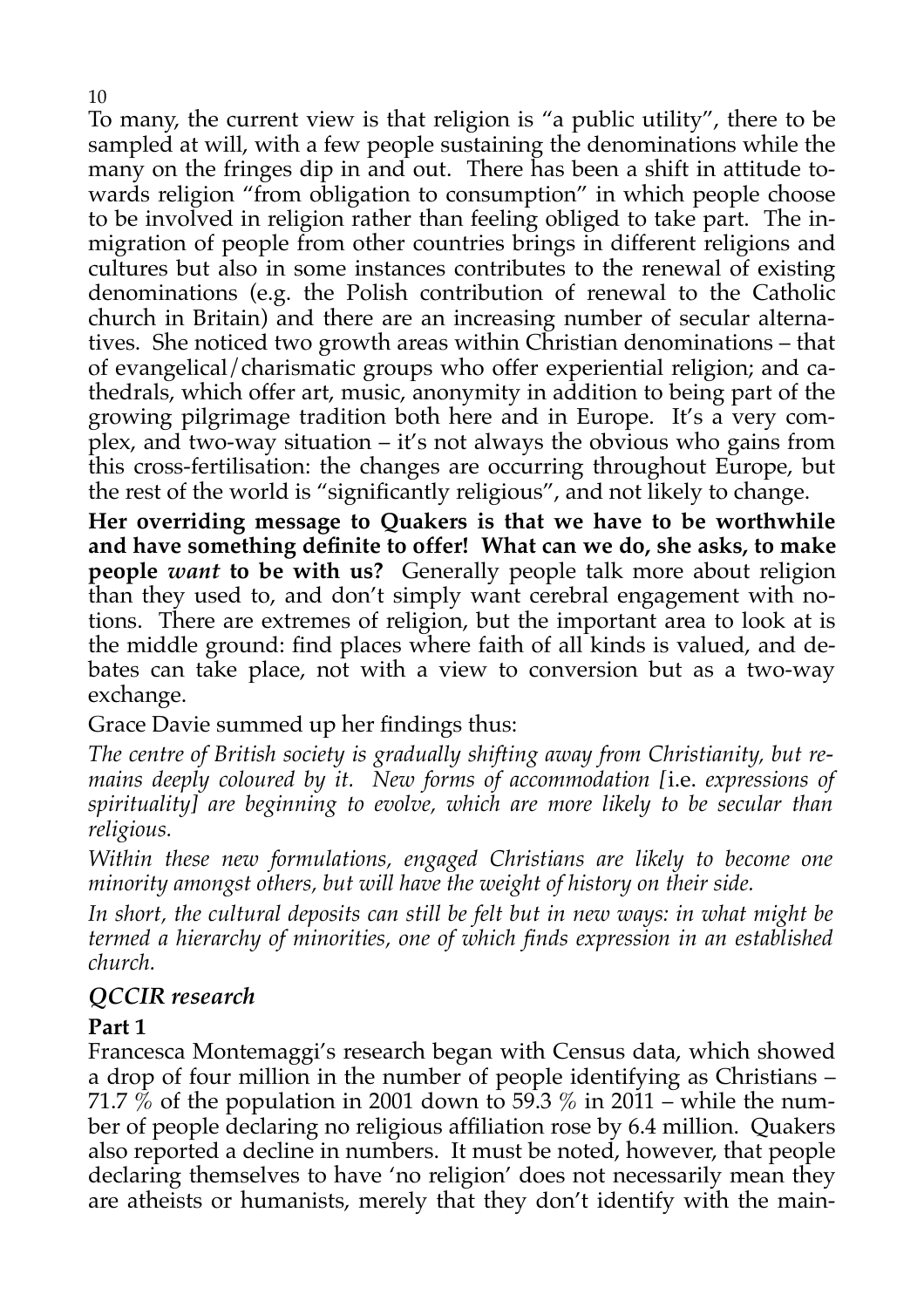To many, the current view is that religion is "a public utility", there to be sampled at will, with a few people sustaining the denominations while the many on the fringes dip in and out. There has been a shift in attitude towards religion "from obligation to consumption" in which people choose to be involved in religion rather than feeling obliged to take part. The inmigration of people from other countries brings in different religions and cultures but also in some instances contributes to the renewal of existing denominations (e.g. the Polish contribution of renewal to the Catholic church in Britain) and there are an increasing number of secular alternatives. She noticed two growth areas within Christian denominations – that of evangelical/charismatic groups who offer experiential religion; and cathedrals, which offer art, music, anonymity in addition to being part of the growing pilgrimage tradition both here and in Europe. It's a very complex, and two-way situation – it's not always the obvious who gains from this cross-fertilisation: the changes are occurring throughout Europe, but the rest of the world is "significantly religious", and not likely to change.

**Her overriding message to Quakers is that we have to be worthwhile and have something definite to offer! What can we do, she asks, to make people** *want* **to be with us?** Generally people talk more about religion than they used to, and don't simply want cerebral engagement with notions. There are extremes of religion, but the important area to look at is the middle ground: find places where faith of all kinds is valued, and debates can take place, not with a view to conversion but as a two-way exchange.

Grace Davie summed up her findings thus:

*The centre of British society is gradually shifting away from Christianity, but remains deeply coloured by it. New forms of accommodation [*i.e. *expressions of spirituality] are beginning to evolve, which are more likely to be secular than religious.*

*Within these new formulations, engaged Christians are likely to become one minority amongst others, but will have the weight of history on their side.*

*In short, the cultural deposits can still be felt but in new ways: in what might be termed a hierarchy of minorities, one of which finds expression in an established church.*

#### *QCCIR research*

#### **Part 1**

Francesca Montemaggi's research began with Census data, which showed a drop of four million in the number of people identifying as Christians – 71.7 % of the population in 2001 down to 59.3 % in 2011 – while the number of people declaring no religious affiliation rose by 6.4 million. Quakers also reported a decline in numbers. It must be noted, however, that people declaring themselves to have 'no religion' does not necessarily mean they are atheists or humanists, merely that they don't identify with the main-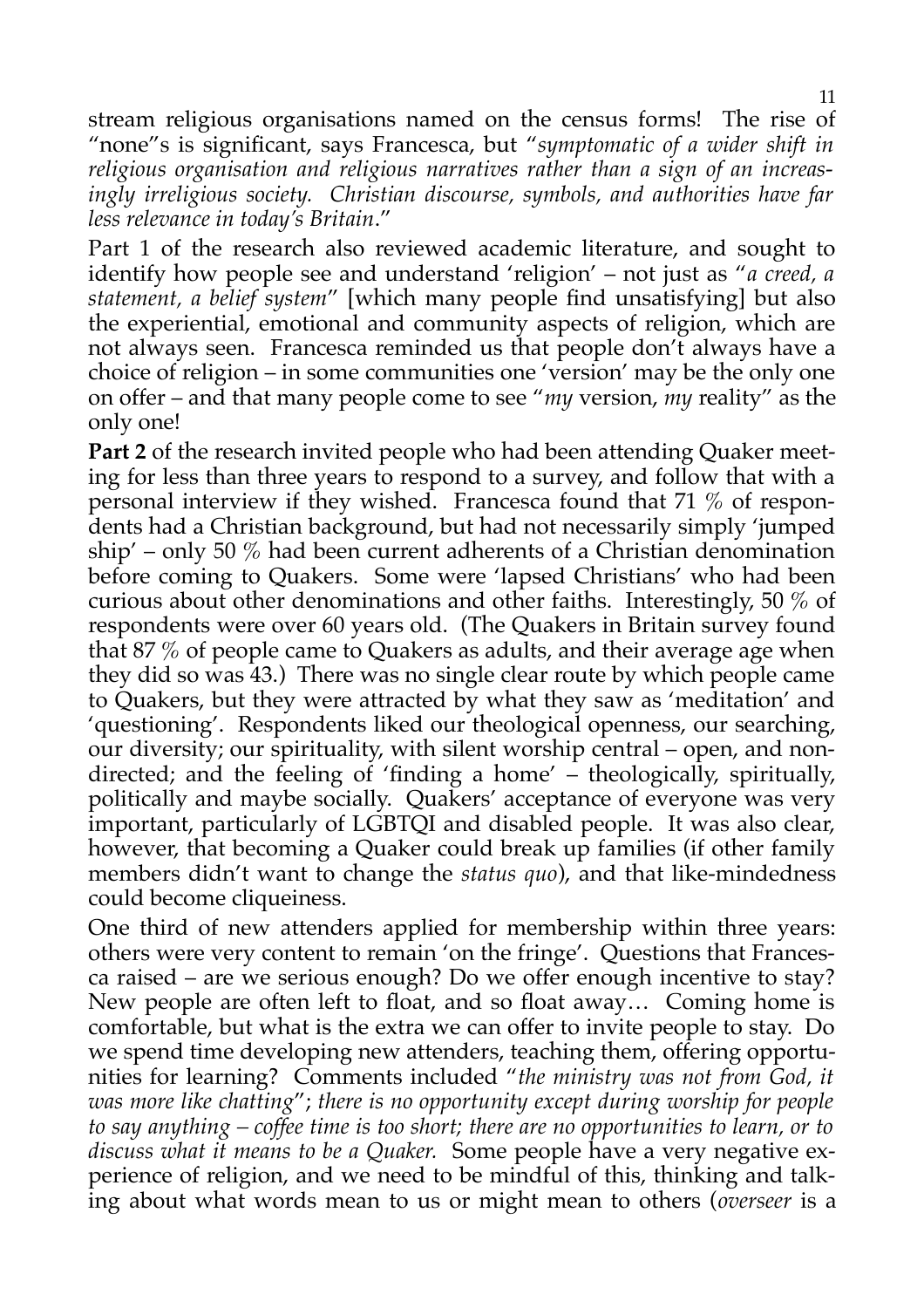stream religious organisations named on the census forms! The rise of "none"s is significant, says Francesca, but "*symptomatic of a wider shift in religious organisation and religious narratives rather than a sign of an increasingly irreligious society. Christian discourse, symbols, and authorities have far less relevance in today's Britain*."

Part 1 of the research also reviewed academic literature, and sought to identify how people see and understand 'religion' – not just as "*a creed, a statement, a belief system*" [which many people find unsatisfying] but also the experiential, emotional and community aspects of religion, which are not always seen. Francesca reminded us that people don't always have a choice of religion – in some communities one 'version' may be the only one on offer – and that many people come to see "*my* version, *my* reality" as the only one!

**Part 2** of the research invited people who had been attending Quaker meeting for less than three years to respond to a survey, and follow that with a personal interview if they wished. Francesca found that 71 % of respondents had a Christian background, but had not necessarily simply 'jumped ship' – only 50 % had been current adherents of a Christian denomination before coming to Quakers. Some were 'lapsed Christians' who had been curious about other denominations and other faiths. Interestingly, 50 % of respondents were over 60 years old. (The Quakers in Britain survey found that 87 % of people came to Quakers as adults, and their average age when they did so was 43.) There was no single clear route by which people came to Quakers, but they were attracted by what they saw as 'meditation' and 'questioning'. Respondents liked our theological openness, our searching, our diversity; our spirituality, with silent worship central – open, and nondirected; and the feeling of 'finding a home' – theologically, spiritually, politically and maybe socially. Quakers' acceptance of everyone was very important, particularly of LGBTQI and disabled people. It was also clear, however, that becoming a Quaker could break up families (if other family members didn't want to change the *status quo*), and that like-mindedness could become cliqueiness.

One third of new attenders applied for membership within three years: others were very content to remain 'on the fringe'. Questions that Francesca raised – are we serious enough? Do we offer enough incentive to stay? New people are often left to float, and so float away… Coming home is comfortable, but what is the extra we can offer to invite people to stay. Do we spend time developing new attenders, teaching them, offering opportunities for learning? Comments included "*the ministry was not from God, it was more like chatting*"; *there is no opportunity except during worship for people to say anything – coffee time is too short; there are no opportunities to learn, or to discuss what it means to be a Quaker.* Some people have a very negative experience of religion, and we need to be mindful of this, thinking and talking about what words mean to us or might mean to others (*overseer* is a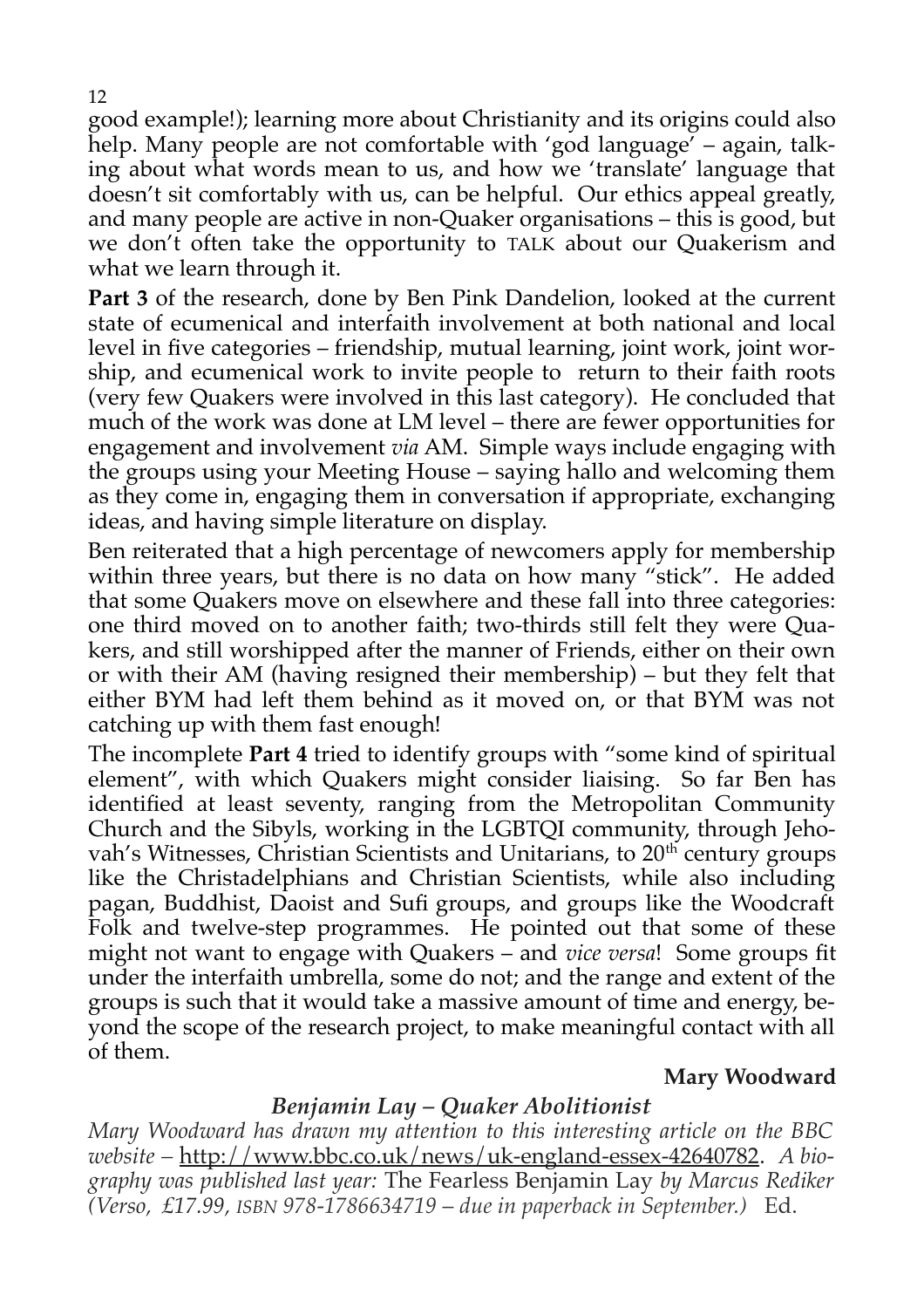good example!); learning more about Christianity and its origins could also help. Many people are not comfortable with 'god language' – again, talking about what words mean to us, and how we 'translate' language that doesn't sit comfortably with us, can be helpful. Our ethics appeal greatly, and many people are active in non-Quaker organisations – this is good, but we don't often take the opportunity to TALK about our Quakerism and what we learn through it.

**Part 3** of the research, done by Ben Pink Dandelion, looked at the current state of ecumenical and interfaith involvement at both national and local level in five categories – friendship, mutual learning, joint work, joint worship, and ecumenical work to invite people to return to their faith roots (very few Quakers were involved in this last category). He concluded that much of the work was done at LM level – there are fewer opportunities for engagement and involvement *via* AM. Simple ways include engaging with the groups using your Meeting House – saying hallo and welcoming them as they come in, engaging them in conversation if appropriate, exchanging ideas, and having simple literature on display.

Ben reiterated that a high percentage of newcomers apply for membership within three years, but there is no data on how many "stick". He added that some Quakers move on elsewhere and these fall into three categories: one third moved on to another faith; two-thirds still felt they were Quakers, and still worshipped after the manner of Friends, either on their own or with their AM (having resigned their membership) – but they felt that either BYM had left them behind as it moved on, or that BYM was not catching up with them fast enough!

The incomplete **Part 4** tried to identify groups with "some kind of spiritual element", with which Quakers might consider liaising. So far Ben has identified at least seventy, ranging from the Metropolitan Community Church and the Sibyls, working in the LGBTQI community, through Jehovah's Witnesses, Christian Scientists and Unitarians, to  $20<sup>th</sup>$  century groups like the Christadelphians and Christian Scientists, while also including pagan, Buddhist, Daoist and Sufi groups, and groups like the Woodcraft Folk and twelve-step programmes. He pointed out that some of these might not want to engage with Quakers – and *vice versa*! Some groups fit under the interfaith umbrella, some do not; and the range and extent of the groups is such that it would take a massive amount of time and energy, beyond the scope of the research project, to make meaningful contact with all of them.

#### **Mary Woodward**

#### *Benjamin Lay – Quaker Abolitionist*

*Mary Woodward has drawn my attention to this interesting article on the BBC website –* [http://www.bbc.co.uk/news/uk-england-essex-42640782.](http://www.bbc.co.uk/news/uk-england-essex-42640782) *A biography was published last year:* The Fearless Benjamin Lay *by Marcus Rediker (Verso, £17.99, ISBN 978-1786634719* – *due in paperback in September.)* Ed.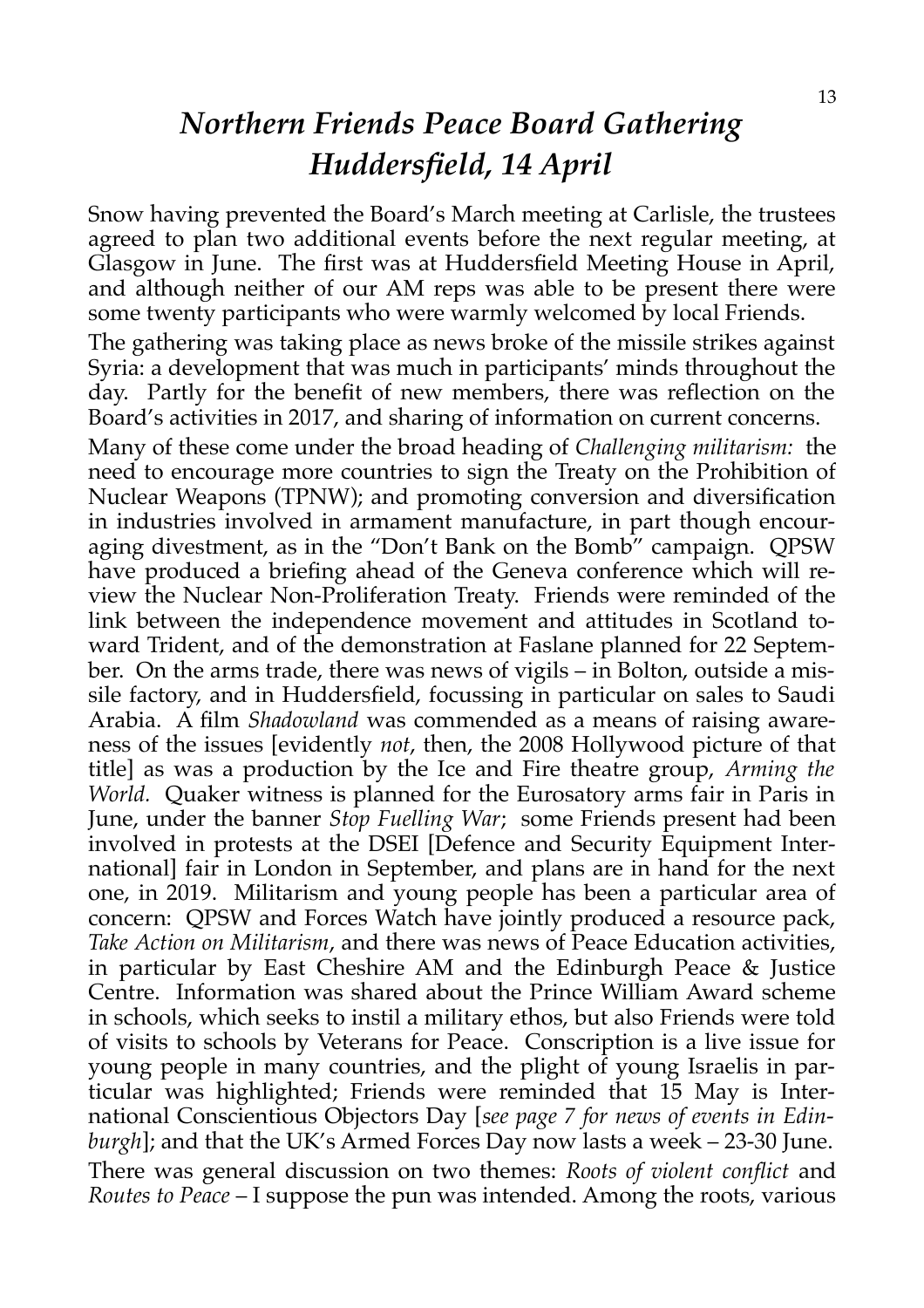## *Northern Friends Peace Board Gathering Huddersfield, 14 April*

Snow having prevented the Board's March meeting at Carlisle, the trustees agreed to plan two additional events before the next regular meeting, at Glasgow in June. The first was at Huddersfield Meeting House in April, and although neither of our AM reps was able to be present there were some twenty participants who were warmly welcomed by local Friends.

The gathering was taking place as news broke of the missile strikes against Syria: a development that was much in participants' minds throughout the day. Partly for the benefit of new members, there was reflection on the Board's activities in 2017, and sharing of information on current concerns.

Many of these come under the broad heading of *Challenging militarism:* the need to encourage more countries to sign the Treaty on the Prohibition of Nuclear Weapons (TPNW); and promoting conversion and diversification in industries involved in armament manufacture, in part though encouraging divestment, as in the "Don't Bank on the Bomb" campaign. QPSW have produced a briefing ahead of the Geneva conference which will review the Nuclear Non-Proliferation Treaty. Friends were reminded of the link between the independence movement and attitudes in Scotland toward Trident, and of the demonstration at Faslane planned for 22 September. On the arms trade, there was news of vigils – in Bolton, outside a missile factory, and in Huddersfield, focussing in particular on sales to Saudi Arabia. A film *Shadowland* was commended as a means of raising awareness of the issues [evidently *not*, then, the 2008 Hollywood picture of that title] as was a production by the Ice and Fire theatre group, *Arming the World.* Quaker witness is planned for the Eurosatory arms fair in Paris in June, under the banner *Stop Fuelling War*; some Friends present had been involved in protests at the DSEI [Defence and Security Equipment International] fair in London in September, and plans are in hand for the next one, in 2019. Militarism and young people has been a particular area of concern: QPSW and Forces Watch have jointly produced a resource pack, *Take Action on Militarism*, and there was news of Peace Education activities, in particular by East Cheshire AM and the Edinburgh Peace & Justice Centre.Information was shared about the Prince William Award scheme in schools, which seeks to instil a military ethos, but also Friends were told of visits to schools by Veterans for Peace. Conscription is a live issue for young people in many countries, and the plight of young Israelis in particular was highlighted; Friends were reminded that 15 May is International Conscientious Objectors Day [*see page 7 for news of events in Edinburgh*]; and that the UK's Armed Forces Day now lasts a week – 23-30 June. There was general discussion on two themes: *Roots of violent conflict* and *Routes to Peace* – I suppose the pun was intended. Among the roots, various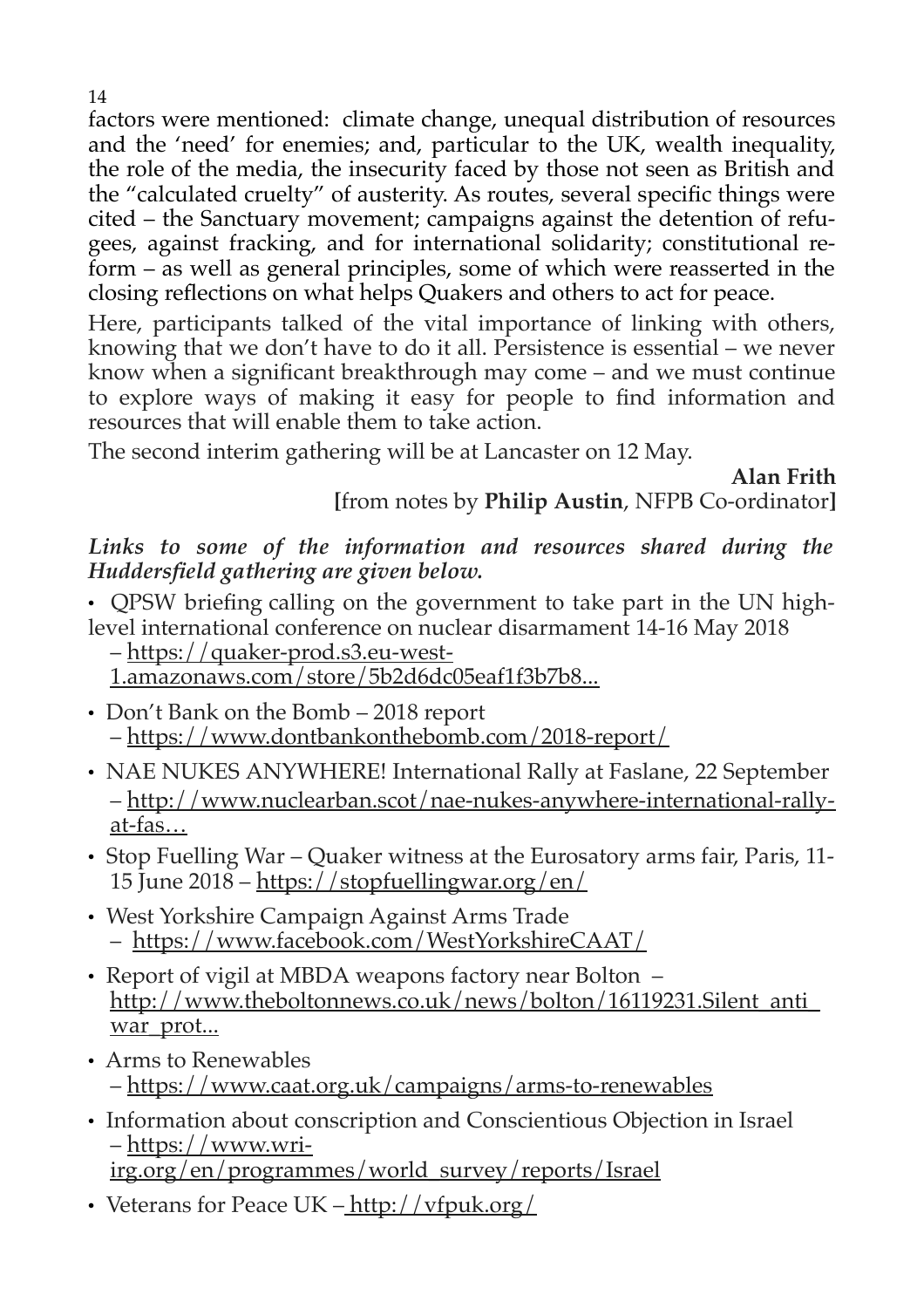factors were mentioned: climate change, unequal distribution of resources and the 'need' for enemies; and, particular to the UK, wealth inequality, the role of the media, the insecurity faced by those not seen as British and the "calculated cruelty" of austerity. As routes, several specific things were cited – the Sanctuary movement; campaigns against the detention of refugees, against fracking, and for international solidarity; constitutional reform – as well as general principles, some of which were reasserted in the closing reflections on what helps Quakers and others to act for peace.

Here, participants talked of the vital importance of linking with others, knowing that we don't have to do it all. Persistence is essential – we never know when a significant breakthrough may come – and we must continue to explore ways of making it easy for people to find information and resources that will enable them to take action.

The second interim gathering will be at Lancaster on 12 May.

**Alan Frith**

**[**from notes by **Philip Austin**, NFPB Co-ordinator**]**

#### *Links to some of the information and resources shared during the Huddersfield gathering are given below.*

• QPSW briefing calling on the government to take part in the UN highlevel international conference on nuclear disarmament 14-16 May 2018

– [https://quaker-prod.s3.eu-west-](https://quaker-prod.s3.eu-west-1.amazonaws.com/store/5b2d6dc05eaf1f3b7b8dfcedad0ba939f7c119e022d8fc2412356f4d7d0b)

[1.amazonaws.com/store/5b2d6dc05eaf1f3b7b8...](https://quaker-prod.s3.eu-west-1.amazonaws.com/store/5b2d6dc05eaf1f3b7b8dfcedad0ba939f7c119e022d8fc2412356f4d7d0b)

- Don't Bank on the Bomb 2018 report –<https://www.dontbankonthebomb.com/2018-report/>
- NAE NUKES ANYWHERE! International Rally at Faslane, 22 September – [http://www.nuclearban.scot/nae-nukes-anywhere-international-rally](http://www.nuclearban.scot/nae-nukes-anywhere-international-rally-at-faslane-22nd-september/)[at-fas…](http://www.nuclearban.scot/nae-nukes-anywhere-international-rally-at-faslane-22nd-september/)
- Stop Fuelling War Quaker witness at the Eurosatory arms fair, Paris, 11- 15 June 2018 –<https://stopfuellingwar.org/en/>
- West Yorkshire Campaign Against Arms Trade – <https://www.facebook.com/WestYorkshireCAAT/>
- Report of vigil at MBDA weapons factory near Bolton [http://www.theboltonnews.co.uk/news/bolton/16119231.Silent\\_anti\\_](http://www.theboltonnews.co.uk/news/bolton/16119231.Silent_anti_war_protest_outside_weapons_factory/) war prot...
- Arms to Renewables –<https://www.caat.org.uk/campaigns/arms-to-renewables>
- Information about conscription and Conscientious Objection in Israel – [https://www.wri](https://www.wri-irg.org/en/programmes/world_survey/reports/Israel)[irg.org/en/programmes/world\\_survey/reports/Israel](https://www.wri-irg.org/en/programmes/world_survey/reports/Israel)
- Veterans for Peace UK  $-\frac{\text{http://vfpuk.org/}}{}$

14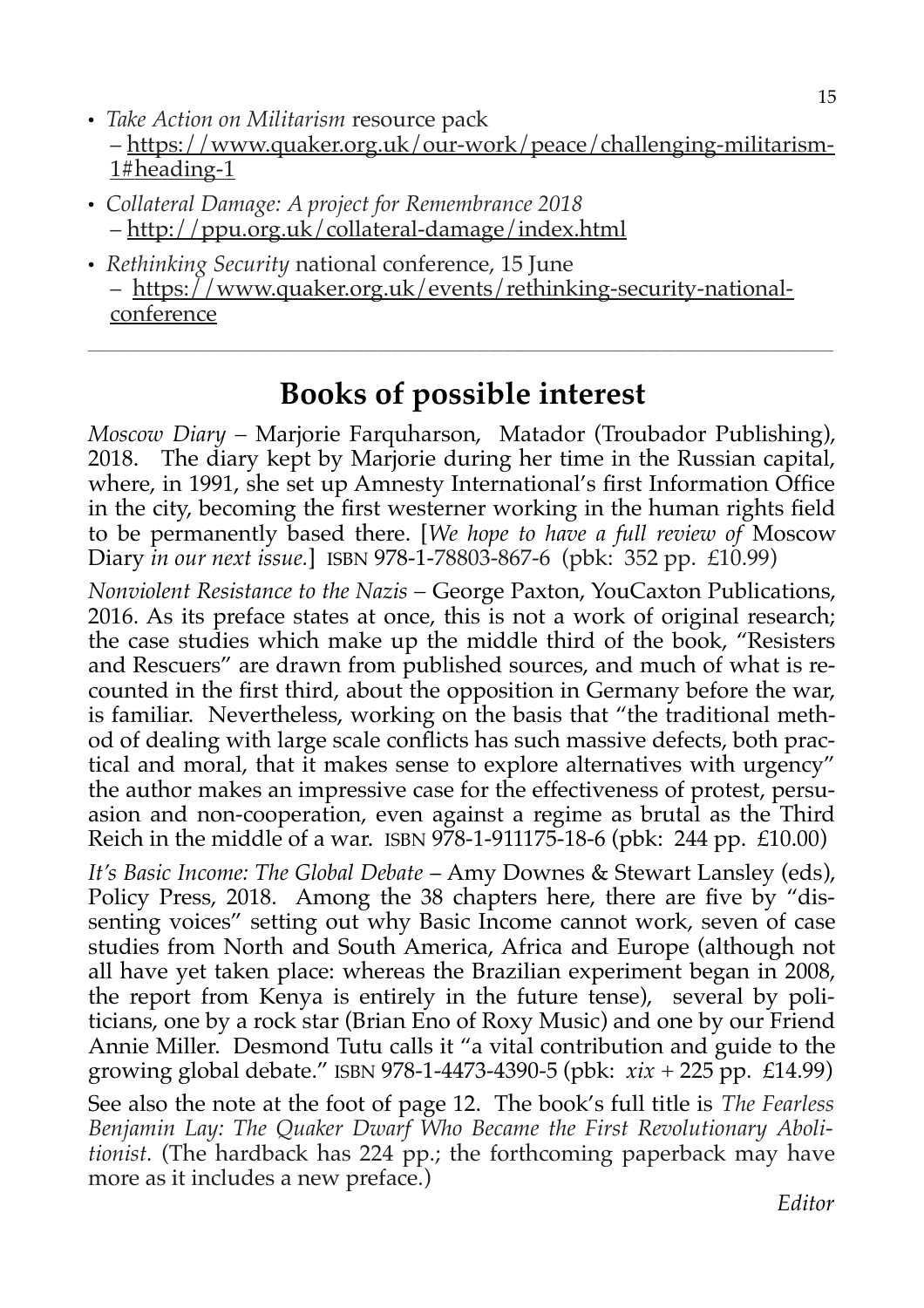- *Take Action on Militarism* resource pack – [https://www.quaker.org.uk/our-work/peace/challenging-militarism-](https://www.quaker.org.uk/our-work/peace/challenging-militarism-1#heading-1)[1#heading-1](https://www.quaker.org.uk/our-work/peace/challenging-militarism-1#heading-1)
- *Collateral Damage: A project for Remembrance 2018* – <http://ppu.org.uk/collateral-damage/index.html>
- *Rethinking Security* national conference, 15 June – [https://www.quaker.org.uk/events/rethinking-security-national](https://www.quaker.org.uk/events/rethinking-security-national-conference)[conference](https://www.quaker.org.uk/events/rethinking-security-national-conference)

## **Books of possible interest**

**\_\_\_\_\_\_\_\_\_\_\_\_\_\_\_\_\_\_\_\_\_\_\_\_\_\_\_\_\_\_\_\_\_\_\_\_\_\_\_\_\_\_\_\_\_\_\_\_\_\_\_\_\_\_\_\_\_\_\_\_\_\_\_\_\_\_\_\_\_\_\_\_\_\_\_\_\_\_\_\_\_\_\_\_\_\_\_\_\_\_\_\_\_\_\_\_\_\_\_\_\_\_\_\_\_\_\_\_\_\_\_\_\_\_\_\_\_\_\_\_\_\_\_\_\_\_\_\_\_\_\_\_\_\_\_\_\_\_\_\_\_\_\_\_\_\_\_\_\_\_\_\_\_\_\_\_\_\_\_\_**

*Moscow Diary –* Marjorie Farquharson, Matador (Troubador Publishing), 2018. The diary kept by Marjorie during her time in the Russian capital, where, in 1991, she set up Amnesty International's first Information Office in the city, becoming the first westerner working in the human rights field to be permanently based there. [*We hope to have a full review of* Moscow Diary *in our next issue.*] ISBN 978-1-78803-867-6 (pbk: 352 pp. £10.99)

*Nonviolent Resistance to the Nazis –* George Paxton, YouCaxton Publications, 2016. As its preface states at once, this is not a work of original research; the case studies which make up the middle third of the book, "Resisters and Rescuers" are drawn from published sources, and much of what is recounted in the first third, about the opposition in Germany before the war, is familiar. Nevertheless, working on the basis that "the traditional method of dealing with large scale conflicts has such massive defects, both practical and moral, that it makes sense to explore alternatives with urgency" the author makes an impressive case for the effectiveness of protest, persuasion and non-cooperation, even against a regime as brutal as the Third Reich in the middle of a war. ISBN 978-1-911175-18-6 (pbk: 244 pp. £10.00)

*It's Basic Income: The Global Debate* – Amy Downes & Stewart Lansley (eds), Policy Press, 2018. Among the 38 chapters here, there are five by "dissenting voices" setting out why Basic Income cannot work, seven of case studies from North and South America, Africa and Europe (although not all have yet taken place: whereas the Brazilian experiment began in 2008, the report from Kenya is entirely in the future tense), several by politicians, one by a rock star (Brian Eno of Roxy Music) and one by our Friend Annie Miller. Desmond Tutu calls it "a vital contribution and guide to the growing global debate." ISBN 978-1-4473-4390-5 (pbk: *xix* + 225 pp. £14.99)

See also the note at the foot of page 12. The book's full title is *[The Fearless](https://www.amazon.co.uk/Fearless-Benjamin-Lay-Revolutionary-Abolitionist/dp/1786634716/ref=sr_1_1?s=books&ie=UTF8&qid=1525816400&sr=1-1&keywords=benjamin+lay) [Benjamin Lay: The Quaker Dwarf Who Became the First Revolutionary Aboli](https://www.amazon.co.uk/Fearless-Benjamin-Lay-Revolutionary-Abolitionist/dp/1786634716/ref=sr_1_1?s=books&ie=UTF8&qid=1525816400&sr=1-1&keywords=benjamin+lay)[tionist.](https://www.amazon.co.uk/Fearless-Benjamin-Lay-Revolutionary-Abolitionist/dp/1786634716/ref=sr_1_1?s=books&ie=UTF8&qid=1525816400&sr=1-1&keywords=benjamin+lay)* (The hardback has 224 pp.; the forthcoming paperback may have more as it includes a new preface.)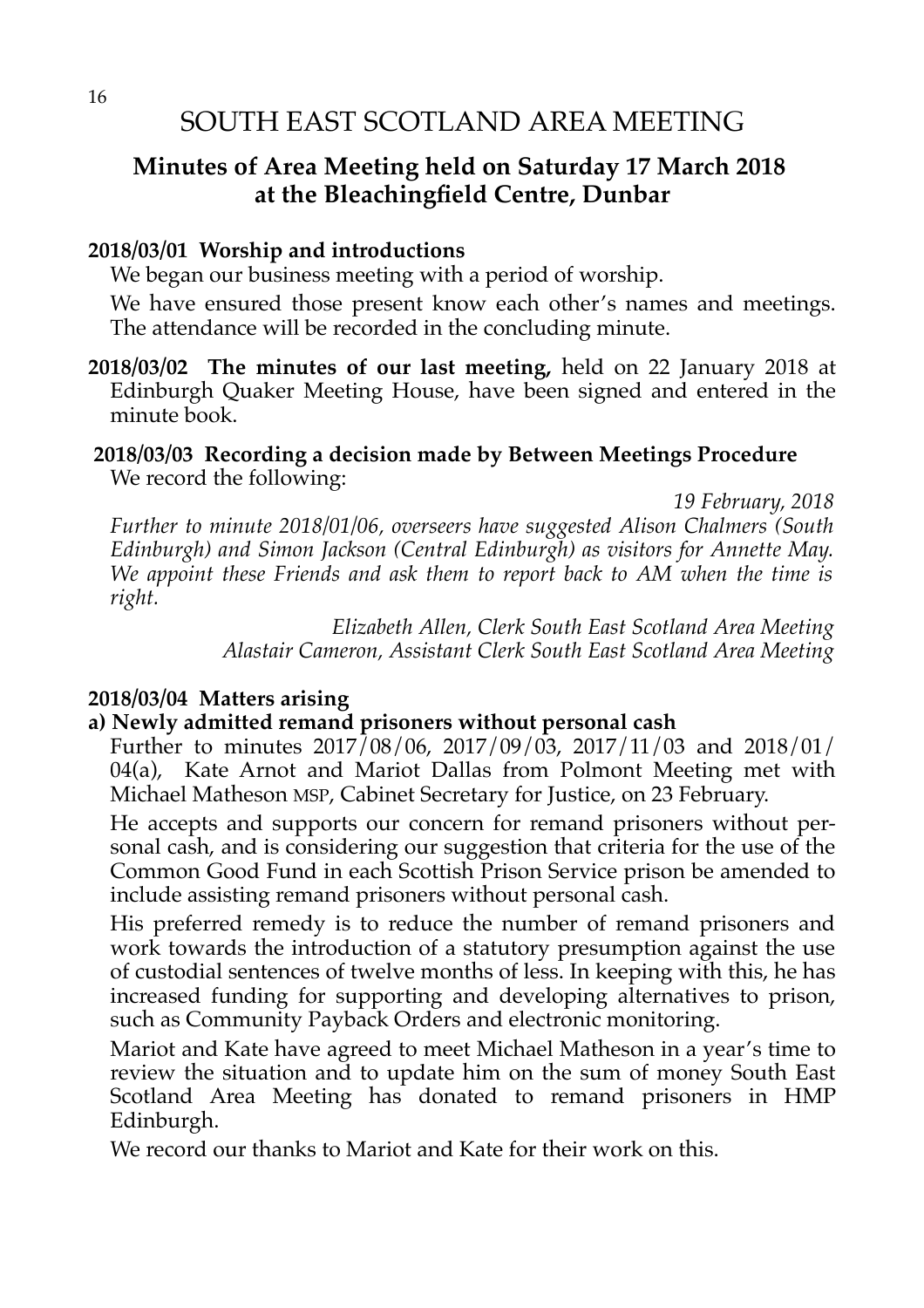#### **Minutes of Area Meeting held on Saturday 17 March 2018 at the Bleachingfield Centre, Dunbar**

#### **2018/03/01 Worship and introductions**

We began our business meeting with a period of worship.

We have ensured those present know each other's names and meetings. The attendance will be recorded in the concluding minute.

**2018/03/02 The minutes of our last meeting,** held on 22 January 2018 at Edinburgh Quaker Meeting House, have been signed and entered in the minute book.

#### **2018/03/03 Recording a decision made by Between Meetings Procedure** We record the following:

*19 February, 2018*

*Further to minute 2018/01/06, overseers have suggested Alison Chalmers (South Edinburgh) and Simon Jackson (Central Edinburgh) as visitors for Annette May. We appoint these Friends and ask them to report back to AM when the time is right.*

> *Elizabeth Allen, Clerk South East Scotland Area Meeting Alastair Cameron, Assistant Clerk South East Scotland Area Meeting*

#### **2018/03/04 Matters arising**

#### **a) Newly admitted remand prisoners without personal cash**

Further to minutes 2017/08/06, 2017/09/03, 2017/11/03 and 2018/01/ 04(a), Kate Arnot and Mariot Dallas from Polmont Meeting met with Michael Matheson MSP, Cabinet Secretary for Justice, on 23 February.

He accepts and supports our concern for remand prisoners without personal cash, and is considering our suggestion that criteria for the use of the Common Good Fund in each Scottish Prison Service prison be amended to include assisting remand prisoners without personal cash.

His preferred remedy is to reduce the number of remand prisoners and work towards the introduction of a statutory presumption against the use of custodial sentences of twelve months of less. In keeping with this, he has increased funding for supporting and developing alternatives to prison, such as Community Payback Orders and electronic monitoring.

Mariot and Kate have agreed to meet Michael Matheson in a year's time to review the situation and to update him on the sum of money South East Scotland Area Meeting has donated to remand prisoners in HMP Edinburgh.

We record our thanks to Mariot and Kate for their work on this.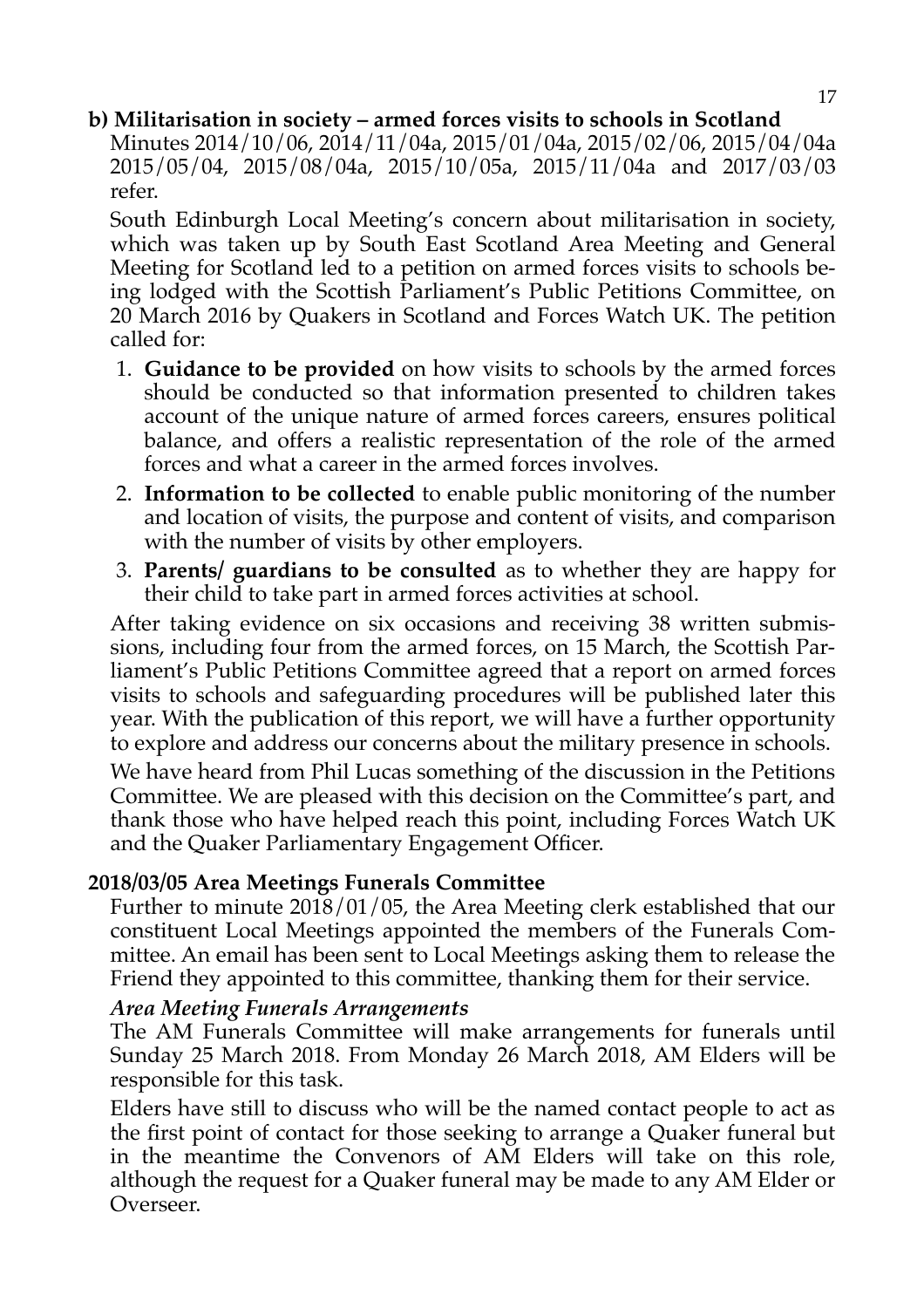#### **b) Militarisation in society – armed forces visits to schools in Scotland**

Minutes 2014/10/06, 2014/11/04a, 2015/01/04a, 2015/02/06, 2015/04/04a 2015/05/04, 2015/08/04a, 2015/10/05a, 2015/11/04a and 2017/03/03 refer.

South Edinburgh Local Meeting's concern about militarisation in society, which was taken up by South East Scotland Area Meeting and General Meeting for Scotland led to a petition on armed forces visits to schools being lodged with the Scottish Parliament's Public Petitions Committee, on 20 March 2016 by Quakers in Scotland and Forces Watch UK. The petition called for:

- 1. **Guidance to be provided** on how visits to schools by the armed forces should be conducted so that information presented to children takes account of the unique nature of armed forces careers, ensures political balance, and offers a realistic representation of the role of the armed forces and what a career in the armed forces involves.
- 2. **Information to be collected** to enable public monitoring of the number and location of visits, the purpose and content of visits, and comparison with the number of visits by other employers.
- 3. **Parents/ guardians to be consulted** as to whether they are happy for their child to take part in armed forces activities at school.

After taking evidence on six occasions and receiving 38 written submissions, including four from the armed forces, on 15 March, the Scottish Parliament's Public Petitions Committee agreed that a report on armed forces visits to schools and safeguarding procedures will be published later this year. With the publication of this report, we will have a further opportunity to explore and address our concerns about the military presence in schools.

We have heard from Phil Lucas something of the discussion in the Petitions Committee. We are pleased with this decision on the Committee's part, and thank those who have helped reach this point, including Forces Watch UK and the Quaker Parliamentary Engagement Officer.

#### **2018/03/05 Area Meetings Funerals Committee**

Further to minute 2018/01/05, the Area Meeting clerk established that our constituent Local Meetings appointed the members of the Funerals Committee. An email has been sent to Local Meetings asking them to release the Friend they appointed to this committee, thanking them for their service.

#### *Area Meeting Funerals Arrangements*

The AM Funerals Committee will make arrangements for funerals until Sunday 25 March 2018. From Monday 26 March 2018, AM Elders will be responsible for this task.

Elders have still to discuss who will be the named contact people to act as the first point of contact for those seeking to arrange a Quaker funeral but in the meantime the Convenors of AM Elders will take on this role, although the request for a Quaker funeral may be made to any AM Elder or Overseer.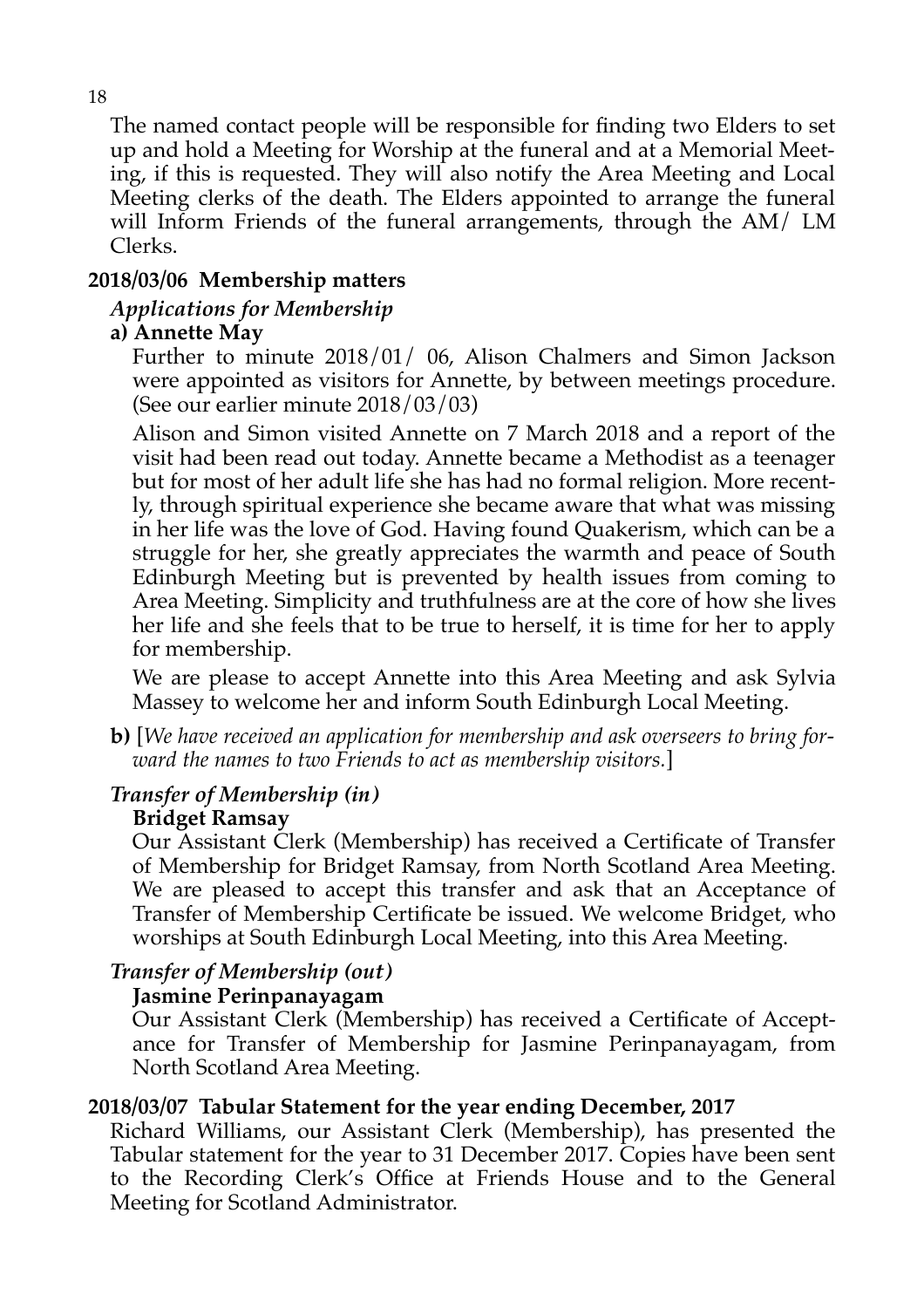The named contact people will be responsible for finding two Elders to set up and hold a Meeting for Worship at the funeral and at a Memorial Meeting, if this is requested. They will also notify the Area Meeting and Local Meeting clerks of the death. The Elders appointed to arrange the funeral will Inform Friends of the funeral arrangements, through the AM/ LM Clerks.

#### **2018/03/06 Membership matters**

#### *Applications for Membership*

#### **a) Annette May**

Further to minute 2018/01/ 06, Alison Chalmers and Simon Jackson were appointed as visitors for Annette, by between meetings procedure. (See our earlier minute 2018/03/03)

Alison and Simon visited Annette on 7 March 2018 and a report of the visit had been read out today. Annette became a Methodist as a teenager but for most of her adult life she has had no formal religion. More recently, through spiritual experience she became aware that what was missing in her life was the love of God. Having found Quakerism, which can be a struggle for her, she greatly appreciates the warmth and peace of South Edinburgh Meeting but is prevented by health issues from coming to Area Meeting. Simplicity and truthfulness are at the core of how she lives her life and she feels that to be true to herself, it is time for her to apply for membership.

We are please to accept Annette into this Area Meeting and ask Sylvia Massey to welcome her and inform South Edinburgh Local Meeting.

**b)** [*We have received an application for membership and ask overseers to bring forward the names to two Friends to act as membership visitors.*]

#### *Transfer of Membership (in)*

#### **Bridget Ramsay**

Our Assistant Clerk (Membership) has received a Certificate of Transfer of Membership for Bridget Ramsay, from North Scotland Area Meeting. We are pleased to accept this transfer and ask that an Acceptance of Transfer of Membership Certificate be issued. We welcome Bridget, who worships at South Edinburgh Local Meeting, into this Area Meeting.

#### *Transfer of Membership (out)*

#### **Jasmine Perinpanayagam**

Our Assistant Clerk (Membership) has received a Certificate of Acceptance for Transfer of Membership for Jasmine Perinpanayagam, from North Scotland Area Meeting.

#### **2018/03/07 Tabular Statement for the year ending December, 2017**

Richard Williams, our Assistant Clerk (Membership), has presented the Tabular statement for the year to 31 December 2017. Copies have been sent to the Recording Clerk's Office at Friends House and to the General Meeting for Scotland Administrator.

18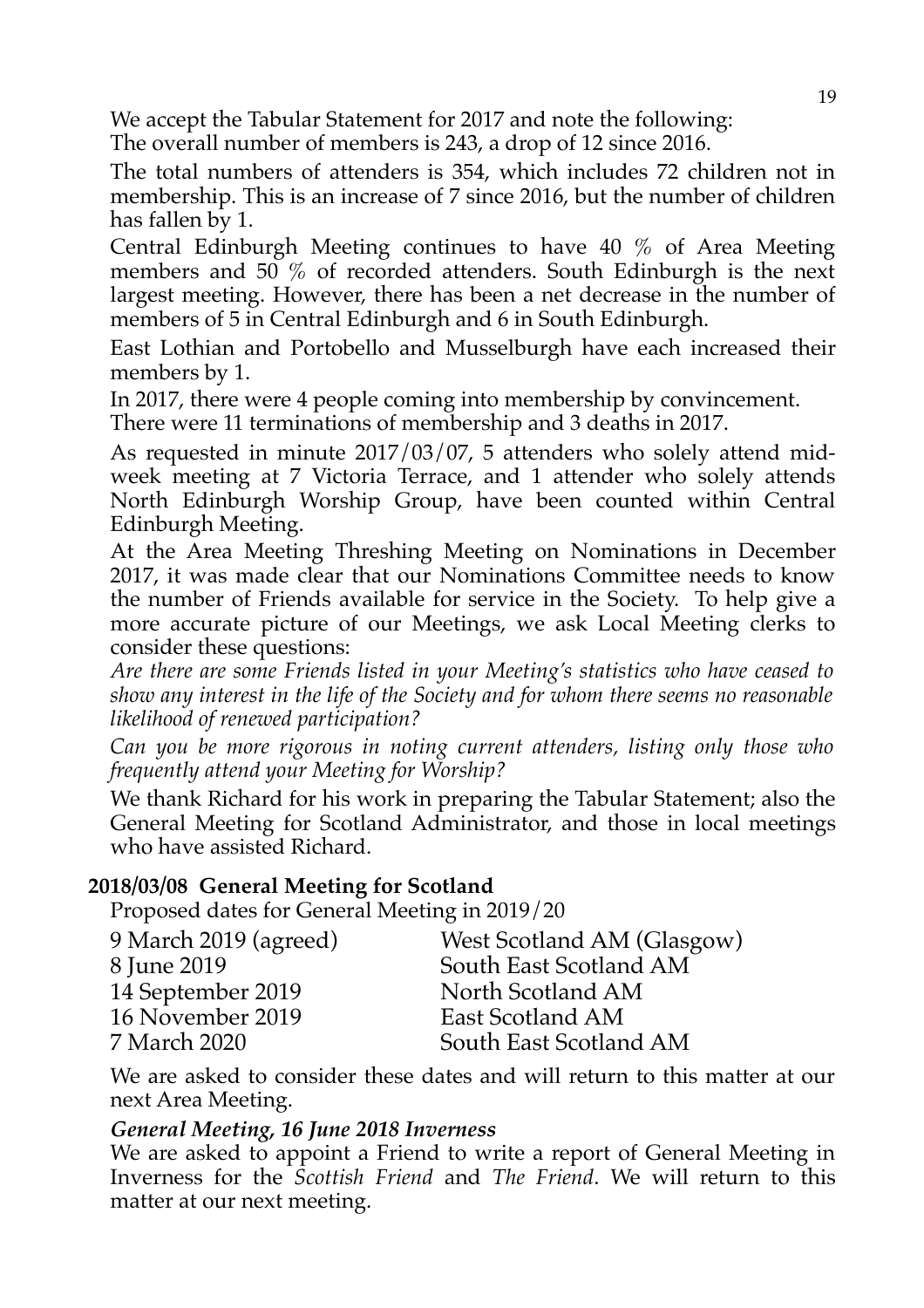We accept the Tabular Statement for 2017 and note the following: The overall number of members is 243, a drop of 12 since 2016.

The total numbers of attenders is 354, which includes 72 children not in membership. This is an increase of 7 since 2016, but the number of children has fallen by 1.

Central Edinburgh Meeting continues to have 40 % of Area Meeting members and 50 % of recorded attenders. South Edinburgh is the next largest meeting. However, there has been a net decrease in the number of members of 5 in Central Edinburgh and 6 in South Edinburgh.

East Lothian and Portobello and Musselburgh have each increased their members by 1.

In 2017, there were 4 people coming into membership by convincement.

There were 11 terminations of membership and 3 deaths in 2017.

As requested in minute 2017/03/07, 5 attenders who solely attend midweek meeting at 7 Victoria Terrace, and 1 attender who solely attends North Edinburgh Worship Group, have been counted within Central Edinburgh Meeting.

At the Area Meeting Threshing Meeting on Nominations in December 2017, it was made clear that our Nominations Committee needs to know the number of Friends available for service in the Society. To help give a more accurate picture of our Meetings, we ask Local Meeting clerks to consider these questions:

*Are there are some Friends listed in your Meeting's statistics who have ceased to show any interest in the life of the Society and for whom there seems no reasonable likelihood of renewed participation?*

*Can you be more rigorous in noting current attenders, listing only those who frequently attend your Meeting for Worship?*

We thank Richard for his work in preparing the Tabular Statement; also the General Meeting for Scotland Administrator, and those in local meetings who have assisted Richard.

#### **2018/03/08 General Meeting for Scotland**

Proposed dates for General Meeting in 2019/20

| West Scotland AM (Glasgow) |
|----------------------------|
| South East Scotland AM     |
| North Scotland AM          |
| East Scotland AM           |
| South East Scotland AM     |
|                            |

We are asked to consider these dates and will return to this matter at our next Area Meeting.

#### *General Meeting, 16 June 2018 Inverness*

We are asked to appoint a Friend to write a report of General Meeting in Inverness for the *Scottish Friend* and *The Friend*. We will return to this matter at our next meeting.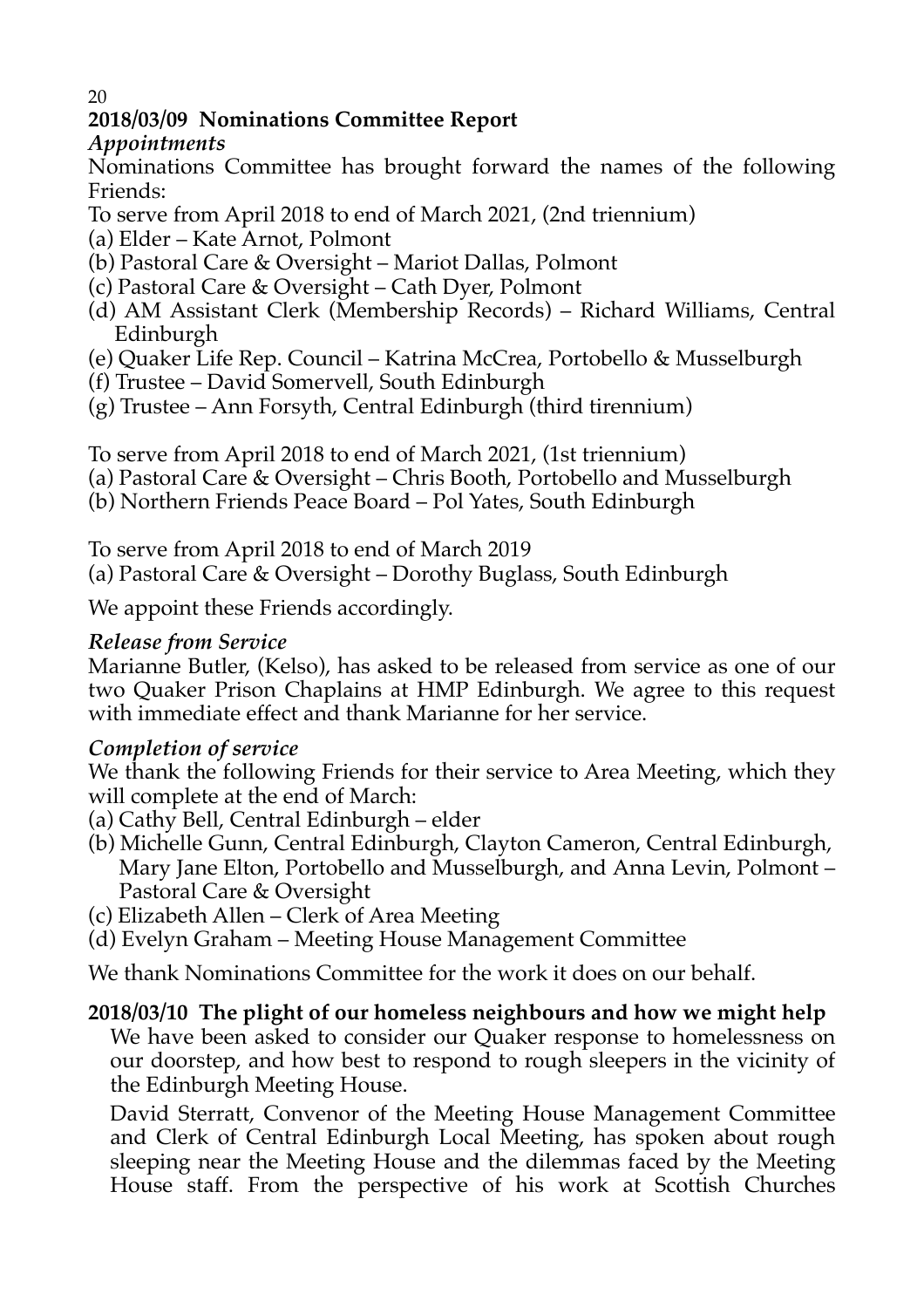#### 20

#### **2018/03/09 Nominations Committee Report**

#### *Appointments*

Nominations Committee has brought forward the names of the following Friends:

- To serve from April 2018 to end of March 2021, (2nd triennium)
- (a) Elder Kate Arnot, Polmont
- (b) Pastoral Care & Oversight Mariot Dallas, Polmont
- (c) Pastoral Care & Oversight Cath Dyer, Polmont
- (d) AM Assistant Clerk (Membership Records) Richard Williams, Central Edinburgh
- (e) Quaker Life Rep. Council Katrina McCrea, Portobello & Musselburgh
- (f) Trustee David Somervell, South Edinburgh
- (g) Trustee Ann Forsyth, Central Edinburgh (third tirennium)

To serve from April 2018 to end of March 2021, (1st triennium)

- (a) Pastoral Care & Oversight Chris Booth, Portobello and Musselburgh
- (b) Northern Friends Peace Board Pol Yates, South Edinburgh

To serve from April 2018 to end of March 2019

(a) Pastoral Care & Oversight – Dorothy Buglass, South Edinburgh

We appoint these Friends accordingly.

#### *Release from Service*

Marianne Butler, (Kelso), has asked to be released from service as one of our two Quaker Prison Chaplains at HMP Edinburgh. We agree to this request with immediate effect and thank Marianne for her service.

#### *Completion of service*

We thank the following Friends for their service to Area Meeting, which they will complete at the end of March:

- (a) Cathy Bell, Central Edinburgh elder
- (b) Michelle Gunn, Central Edinburgh, Clayton Cameron, Central Edinburgh, Mary Jane Elton, Portobello and Musselburgh, and Anna Levin, Polmont – Pastoral Care & Oversight
- (c) Elizabeth Allen Clerk of Area Meeting
- (d) Evelyn Graham Meeting House Management Committee

We thank Nominations Committee for the work it does on our behalf.

#### **2018/03/10 The plight of our homeless neighbours and how we might help**

We have been asked to consider our Quaker response to homelessness on our doorstep, and how best to respond to rough sleepers in the vicinity of the Edinburgh Meeting House.

David Sterratt, Convenor of the Meeting House Management Committee and Clerk of Central Edinburgh Local Meeting, has spoken about rough sleeping near the Meeting House and the dilemmas faced by the Meeting House staff. From the perspective of his work at Scottish Churches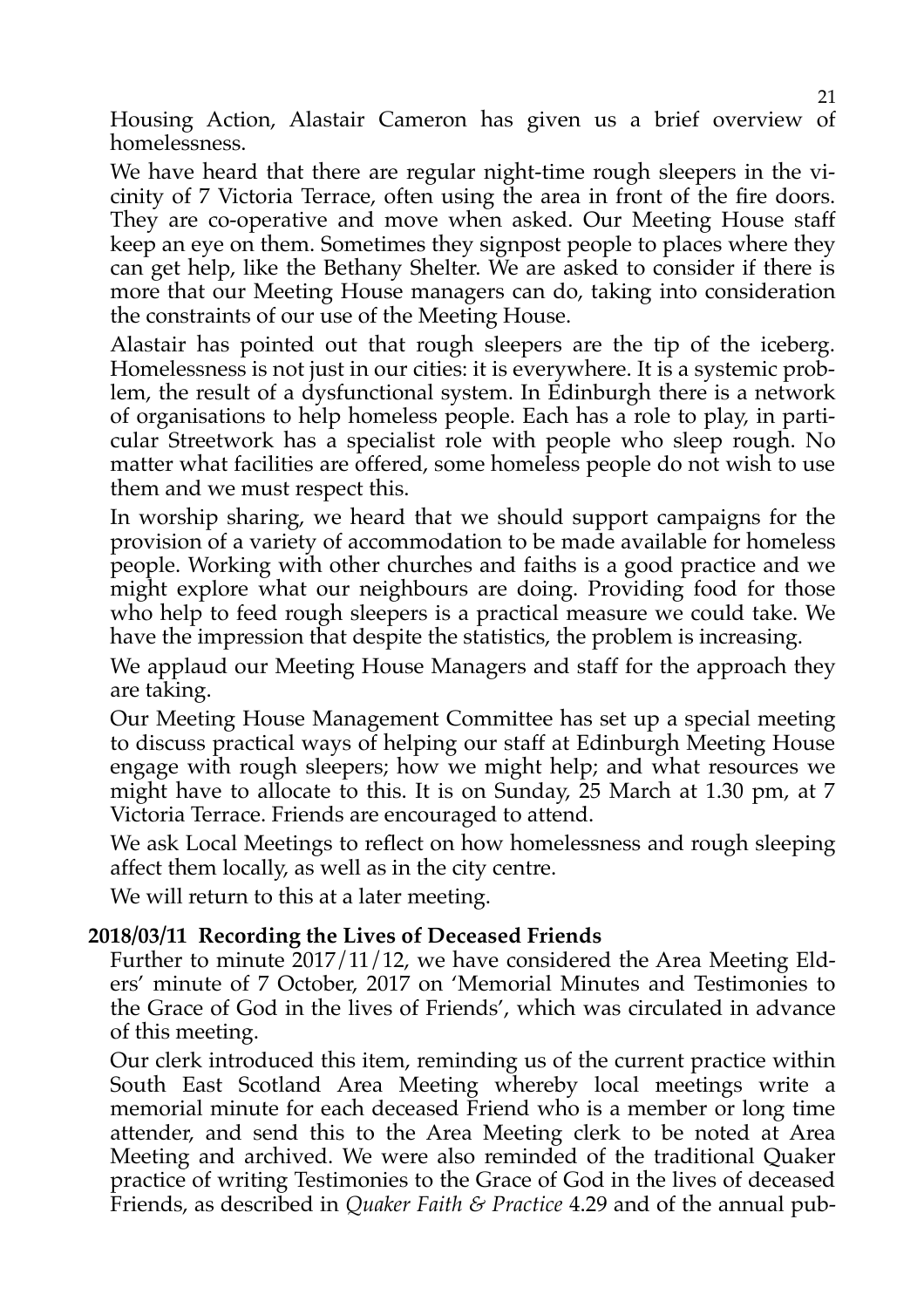Housing Action, Alastair Cameron has given us a brief overview of homelessness.

We have heard that there are regular night-time rough sleepers in the vicinity of 7 Victoria Terrace, often using the area in front of the fire doors. They are co-operative and move when asked. Our Meeting House staff keep an eye on them. Sometimes they signpost people to places where they can get help, like the Bethany Shelter. We are asked to consider if there is more that our Meeting House managers can do, taking into consideration the constraints of our use of the Meeting House.

Alastair has pointed out that rough sleepers are the tip of the iceberg. Homelessness is not just in our cities: it is everywhere. It is a systemic problem, the result of a dysfunctional system. In Edinburgh there is a network of organisations to help homeless people. Each has a role to play, in particular Streetwork has a specialist role with people who sleep rough. No matter what facilities are offered, some homeless people do not wish to use them and we must respect this.

In worship sharing, we heard that we should support campaigns for the provision of a variety of accommodation to be made available for homeless people. Working with other churches and faiths is a good practice and we might explore what our neighbours are doing. Providing food for those who help to feed rough sleepers is a practical measure we could take. We have the impression that despite the statistics, the problem is increasing.

We applaud our Meeting House Managers and staff for the approach they are taking.

Our Meeting House Management Committee has set up a special meeting to discuss practical ways of helping our staff at Edinburgh Meeting House engage with rough sleepers; how we might help; and what resources we might have to allocate to this. It is on Sunday, 25 March at 1.30 pm, at 7 Victoria Terrace. Friends are encouraged to attend.

We ask Local Meetings to reflect on how homelessness and rough sleeping affect them locally, as well as in the city centre.

We will return to this at a later meeting.

#### **2018/03/11 Recording the Lives of Deceased Friends**

Further to minute 2017/11/12, we have considered the Area Meeting Elders' minute of 7 October, 2017 on 'Memorial Minutes and Testimonies to the Grace of God in the lives of Friends', which was circulated in advance of this meeting.

Our clerk introduced this item, reminding us of the current practice within South East Scotland Area Meeting whereby local meetings write a memorial minute for each deceased Friend who is a member or long time attender, and send this to the Area Meeting clerk to be noted at Area Meeting and archived. We were also reminded of the traditional Quaker practice of writing Testimonies to the Grace of God in the lives of deceased Friends, as described in *Quaker Faith & Practice* 4.29 and of the annual pub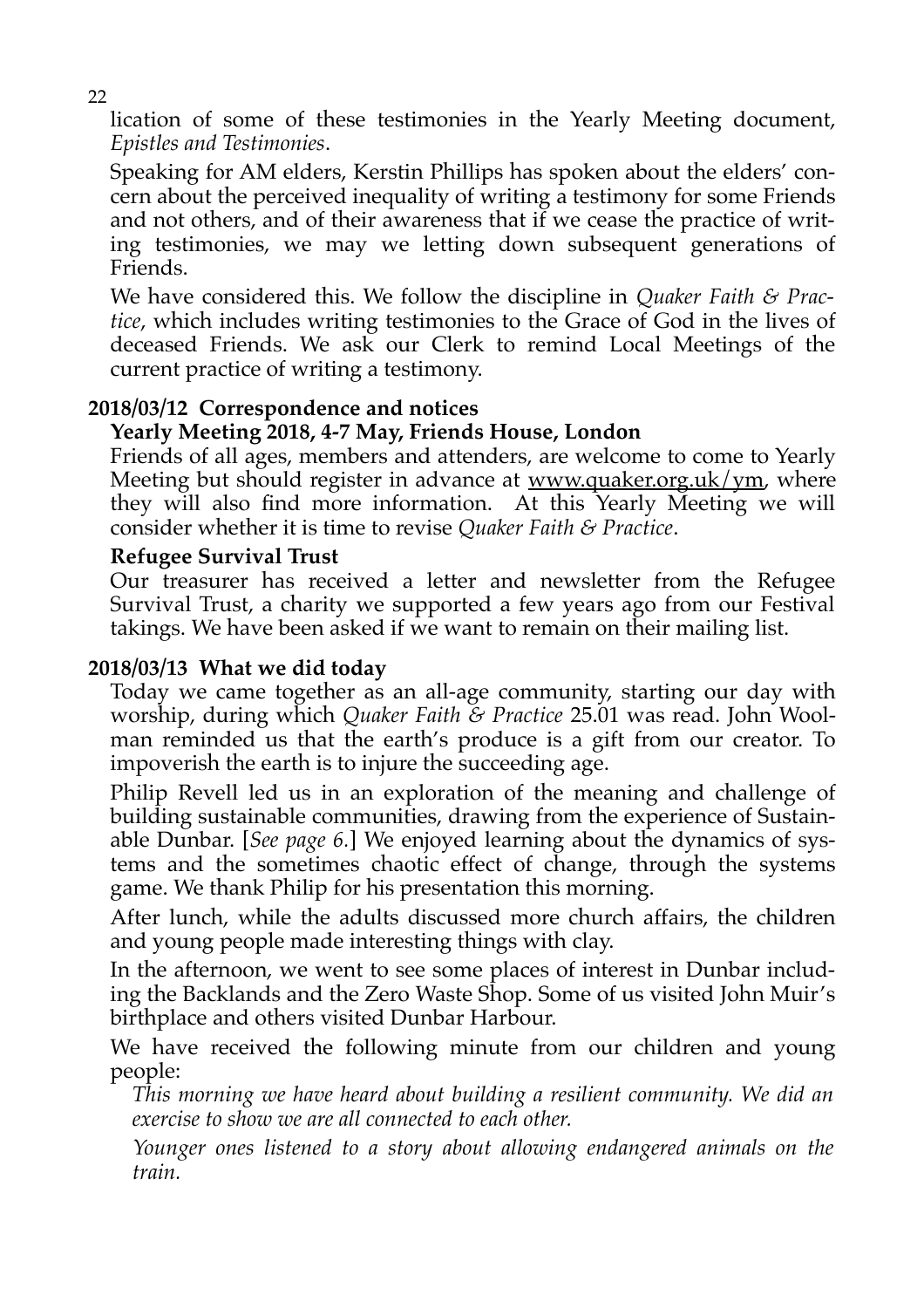lication of some of these testimonies in the Yearly Meeting document, *Epistles and Testimonies*.

Speaking for AM elders, Kerstin Phillips has spoken about the elders' concern about the perceived inequality of writing a testimony for some Friends and not others, and of their awareness that if we cease the practice of writing testimonies, we may we letting down subsequent generations of Friends.

We have considered this. We follow the discipline in *Quaker Faith & Practice*, which includes writing testimonies to the Grace of God in the lives of deceased Friends. We ask our Clerk to remind Local Meetings of the current practice of writing a testimony.

#### **2018/03/12 Correspondence and notices**

#### **Yearly Meeting 2018, 4-7 May, Friends House, London**

Friends of all ages, members and attenders, are welcome to come to Yearly Meeting but should register in advance at <u>www.quaker.org.uk/ym</u>, where they will also find more information. At this Yearly Meeting we will consider whether it is time to revise *Quaker Faith & Practice*.

#### **Refugee Survival Trust**

Our treasurer has received a letter and newsletter from the Refugee Survival Trust, a charity we supported a few years ago from our Festival takings. We have been asked if we want to remain on their mailing list.

#### **2018/03/13 What we did today**

Today we came together as an all-age community, starting our day with worship, during which *Quaker Faith & Practice* 25.01 was read. John Woolman reminded us that the earth's produce is a gift from our creator. To impoverish the earth is to injure the succeeding age.

Philip Revell led us in an exploration of the meaning and challenge of building sustainable communities, drawing from the experience of Sustainable Dunbar. [*See page 6.*] We enjoyed learning about the dynamics of systems and the sometimes chaotic effect of change, through the systems game. We thank Philip for his presentation this morning.

After lunch, while the adults discussed more church affairs, the children and young people made interesting things with clay.

In the afternoon, we went to see some places of interest in Dunbar including the Backlands and the Zero Waste Shop. Some of us visited John Muir's birthplace and others visited Dunbar Harbour.

We have received the following minute from our children and young people:

*This morning we have heard about building a resilient community. We did an exercise to show we are all connected to each other.*

*Younger ones listened to a story about allowing endangered animals on the train.*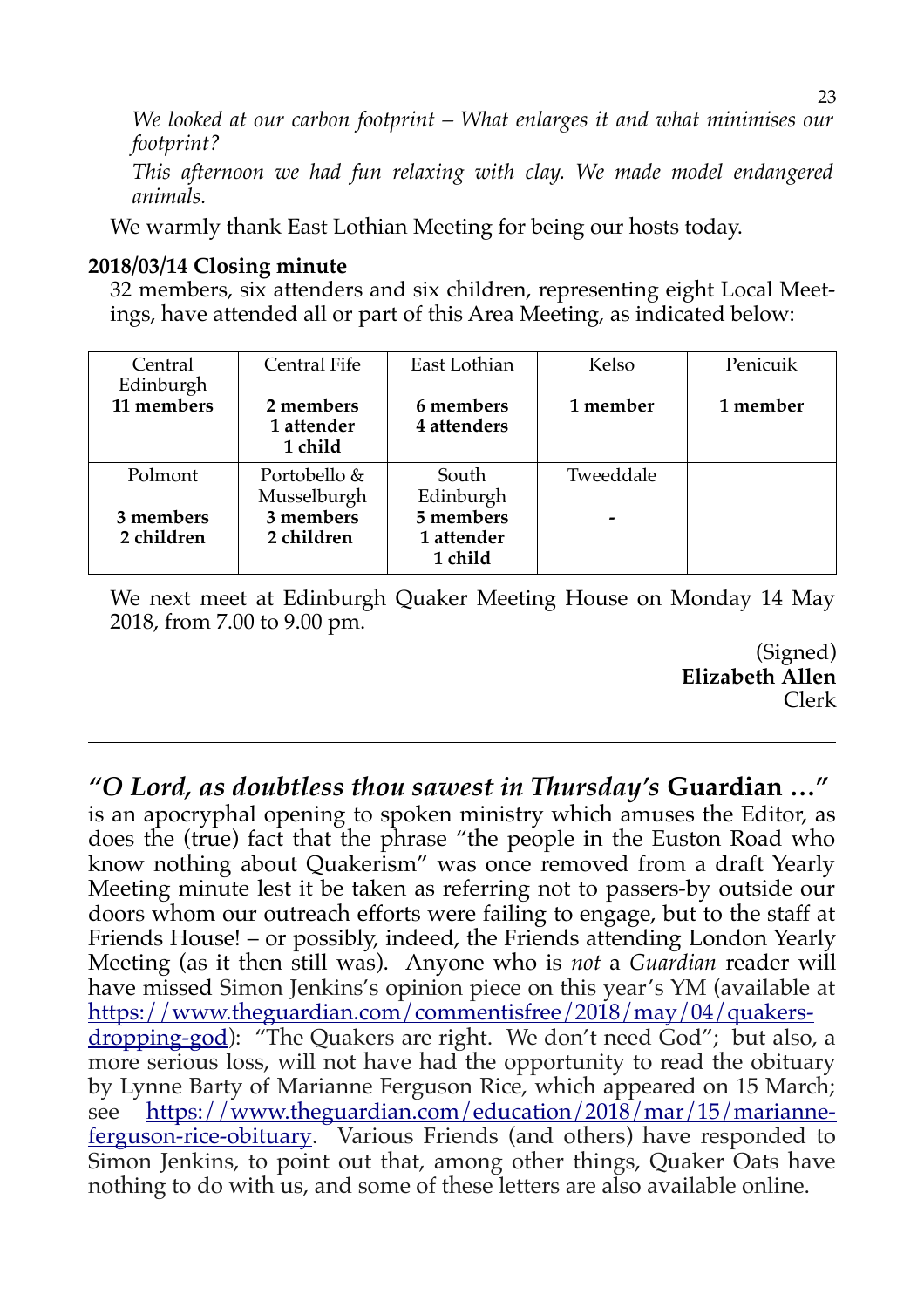*We looked at our carbon footprint – What enlarges it and what minimises our footprint?*

*This afternoon we had fun relaxing with clay. We made model endangered animals.*

We warmly thank East Lothian Meeting for being our hosts today.

#### **2018/03/14 Closing minute**

32 members, six attenders and six children, representing eight Local Meetings, have attended all or part of this Area Meeting, as indicated below:

| Central<br>Edinburgh    | Central Fife                       | East Lothian                       | Kelso     | Penicuik |
|-------------------------|------------------------------------|------------------------------------|-----------|----------|
| 11 members              | 2 members<br>1 attender<br>1 child | 6 members<br>4 attenders           | 1 member  | 1 member |
| Polmont                 | Portobello &<br>Musselburgh        | South<br>Edinburgh                 | Tweeddale |          |
| 3 members<br>2 children | 3 members<br>2 children            | 5 members<br>1 attender<br>1 child |           |          |

We next meet at Edinburgh Quaker Meeting House on Monday 14 May 2018, from 7.00 to 9.00 pm.

> (Signed) **Elizabeth Allen** Clerk

*"O Lord, as doubtless thou sawest in Thursday's* **Guardian …"** 

is an apocryphal opening to spoken ministry which amuses the Editor, as does the (true) fact that the phrase "the people in the Euston Road who know nothing about Quakerism" was once removed from a draft Yearly Meeting minute lest it be taken as referring not to passers-by outside our doors whom our outreach efforts were failing to engage, but to the staff at Friends House! – or possibly, indeed, the Friends attending London Yearly Meeting (as it then still was). Anyone who is *not* a *Guardian* reader will have missed Simon Jenkins's opinion piece on this year's YM (available at [https://www.theguardian.com/commentisfree/2018/may/04/quakers](https://www.theguardian.com/commentisfree/2018/may/04/quakers-dropping-god)[dropping-god\)](https://www.theguardian.com/commentisfree/2018/may/04/quakers-dropping-god): "The Quakers are right. We don't need God"; but also, a more serious loss, will not have had the opportunity to read the obituary by Lynne Barty of Marianne Ferguson Rice, which appeared on 15 March; see [https://www.theguardian.com/education/2018/mar/15/marianne](https://www.theguardian.com/education/2018/mar/15/marianne-ferguson-rice-obituary)[ferguson-rice-obituary.](https://www.theguardian.com/education/2018/mar/15/marianne-ferguson-rice-obituary) Various Friends (and others) have responded to Simon Jenkins, to point out that, among other things, Quaker Oats have nothing to do with us, and some of these letters are also available online.